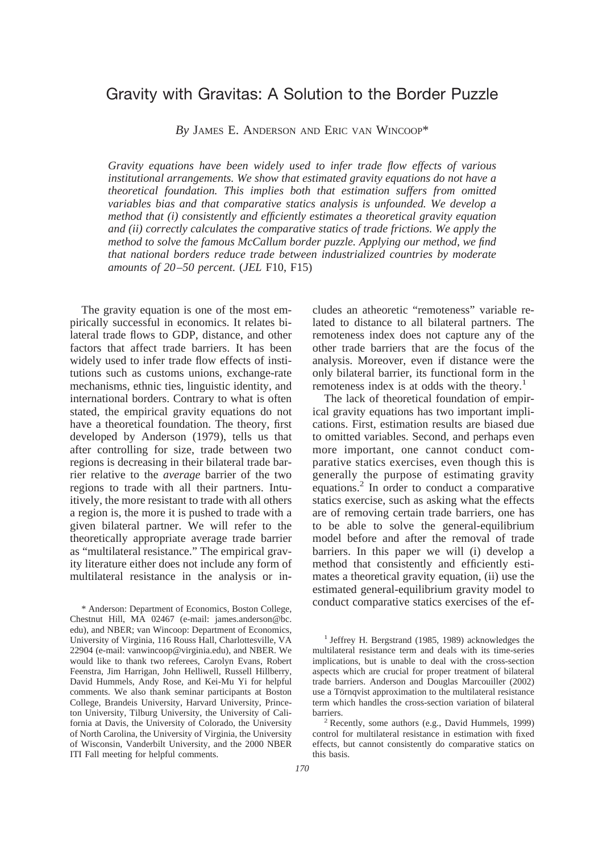# Gravity with Gravitas: A Solution to the Border Puzzle

*By* JAMES E. ANDERSON AND ERIC VAN WINCOOP\*

*Gravity equations have been widely used to infer trade flow effects of various institutional arrangements. We show that estimated gravity equations do not have a theoretical foundation. This implies both that estimation suffers from omitted variables bias and that comparative statics analysis is unfounded. We develop a method that (i) consistently and efficiently estimates a theoretical gravity equation and (ii) correctly calculates the comparative statics of trade frictions. We apply the method to solve the famous McCallum border puzzle. Applying our method, we find that national borders reduce trade between industrialized countries by moderate amounts of 20–50 percent.* (*JEL* F10, F15)

The gravity equation is one of the most empirically successful in economics. It relates bilateral trade flows to GDP, distance, and other factors that affect trade barriers. It has been widely used to infer trade flow effects of institutions such as customs unions, exchange-rate mechanisms, ethnic ties, linguistic identity, and international borders. Contrary to what is often stated, the empirical gravity equations do not have a theoretical foundation. The theory, first developed by Anderson (1979), tells us that after controlling for size, trade between two regions is decreasing in their bilateral trade barrier relative to the *average* barrier of the two regions to trade with all their partners. Intuitively, the more resistant to trade with all others a region is, the more it is pushed to trade with a given bilateral partner. We will refer to the theoretically appropriate average trade barrier as "multilateral resistance." The empirical gravity literature either does not include any form of multilateral resistance in the analysis or in-

Chestnut Hill, MA 02467 (e-mail: james.anderson@bc. edu), and NBER; van Wincoop: Department of Economics, University of Virginia, 116 Rouss Hall, Charlottesville, VA 22904 (e-mail: vanwincoop@virginia.edu), and NBER. We would like to thank two referees, Carolyn Evans, Robert Feenstra, Jim Harrigan, John Helliwell, Russell Hillberry, David Hummels, Andy Rose, and Kei-Mu Yi for helpful comments. We also thank seminar participants at Boston College, Brandeis University, Harvard University, Princeton University, Tilburg University, the University of California at Davis, the University of Colorado, the University of North Carolina, the University of Virginia, the University of Wisconsin, Vanderbilt University, and the 2000 NBER ITI Fall meeting for helpful comments.

cludes an atheoretic "remoteness" variable related to distance to all bilateral partners. The remoteness index does not capture any of the other trade barriers that are the focus of the analysis. Moreover, even if distance were the only bilateral barrier, its functional form in the remoteness index is at odds with the theory.<sup>1</sup>

The lack of theoretical foundation of empirical gravity equations has two important implications. First, estimation results are biased due to omitted variables. Second, and perhaps even more important, one cannot conduct comparative statics exercises, even though this is generally the purpose of estimating gravity equations.2 In order to conduct a comparative statics exercise, such as asking what the effects are of removing certain trade barriers, one has to be able to solve the general-equilibrium model before and after the removal of trade barriers. In this paper we will (i) develop a method that consistently and efficiently estimates a theoretical gravity equation, (ii) use the estimated general-equilibrium gravity model to conduct comparative statics exercises of the ef- \* Anderson: Department of Economics, Boston College,

> <sup>1</sup> Jeffrey H. Bergstrand (1985, 1989) acknowledges the multilateral resistance term and deals with its time-series implications, but is unable to deal with the cross-section aspects which are crucial for proper treatment of bilateral trade barriers. Anderson and Douglas Marcouiller (2002) use a Törnqvist approximation to the multilateral resistance term which handles the cross-section variation of bilateral

> barriers.<br><sup>2</sup> Recently, some authors (e.g., David Hummels, 1999) control for multilateral resistance in estimation with fixed effects, but cannot consistently do comparative statics on this basis.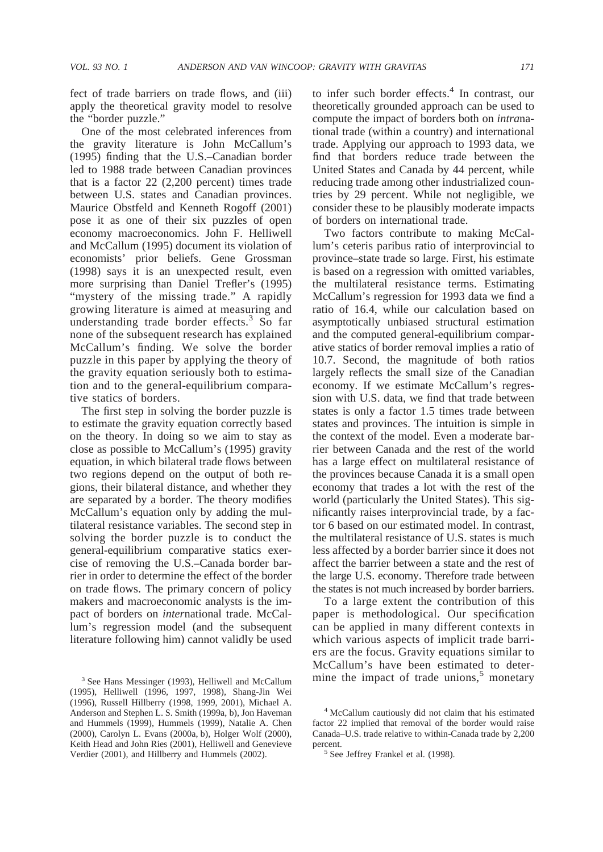fect of trade barriers on trade flows, and (iii) apply the theoretical gravity model to resolve the "border puzzle."

One of the most celebrated inferences from the gravity literature is John McCallum's (1995) finding that the U.S.–Canadian border led to 1988 trade between Canadian provinces that is a factor 22 (2,200 percent) times trade between U.S. states and Canadian provinces. Maurice Obstfeld and Kenneth Rogoff (2001) pose it as one of their six puzzles of open economy macroeconomics. John F. Helliwell and McCallum (1995) document its violation of economists' prior beliefs. Gene Grossman (1998) says it is an unexpected result, even more surprising than Daniel Trefler's (1995) "mystery of the missing trade." A rapidly growing literature is aimed at measuring and understanding trade border effects.<sup>3</sup> So far none of the subsequent research has explained McCallum's finding. We solve the border puzzle in this paper by applying the theory of the gravity equation seriously both to estimation and to the general-equilibrium comparative statics of borders.

The first step in solving the border puzzle is to estimate the gravity equation correctly based on the theory. In doing so we aim to stay as close as possible to McCallum's (1995) gravity equation, in which bilateral trade flows between two regions depend on the output of both regions, their bilateral distance, and whether they are separated by a border. The theory modifies McCallum's equation only by adding the multilateral resistance variables. The second step in solving the border puzzle is to conduct the general-equilibrium comparative statics exercise of removing the U.S.–Canada border barrier in order to determine the effect of the border on trade flows. The primary concern of policy makers and macroeconomic analysts is the impact of borders on *inter*national trade. McCallum's regression model (and the subsequent literature following him) cannot validly be used

to infer such border effects.<sup>4</sup> In contrast, our theoretically grounded approach can be used to compute the impact of borders both on *intra*national trade (within a country) and international trade. Applying our approach to 1993 data, we find that borders reduce trade between the United States and Canada by 44 percent, while reducing trade among other industrialized countries by 29 percent. While not negligible, we consider these to be plausibly moderate impacts of borders on international trade.

Two factors contribute to making McCallum's ceteris paribus ratio of interprovincial to province–state trade so large. First, his estimate is based on a regression with omitted variables, the multilateral resistance terms. Estimating McCallum's regression for 1993 data we find a ratio of 16.4, while our calculation based on asymptotically unbiased structural estimation and the computed general-equilibrium comparative statics of border removal implies a ratio of 10.7. Second, the magnitude of both ratios largely reflects the small size of the Canadian economy. If we estimate McCallum's regression with U.S. data, we find that trade between states is only a factor 1.5 times trade between states and provinces. The intuition is simple in the context of the model. Even a moderate barrier between Canada and the rest of the world has a large effect on multilateral resistance of the provinces because Canada it is a small open economy that trades a lot with the rest of the world (particularly the United States). This significantly raises interprovincial trade, by a factor 6 based on our estimated model. In contrast, the multilateral resistance of U.S. states is much less affected by a border barrier since it does not affect the barrier between a state and the rest of the large U.S. economy. Therefore trade between the states is not much increased by border barriers.

To a large extent the contribution of this paper is methodological. Our specification can be applied in many different contexts in which various aspects of implicit trade barriers are the focus. Gravity equations similar to McCallum's have been estimated to deter-<sup>3</sup> See Hans Messinger (1993), Helliwell and McCallum mine the impact of trade unions,<sup>5</sup> monetary

<sup>(1995),</sup> Helliwell (1996, 1997, 1998), Shang-Jin Wei (1996), Russell Hillberry (1998, 1999, 2001), Michael A. Anderson and Stephen L. S. Smith (1999a, b), Jon Haveman and Hummels (1999), Hummels (1999), Natalie A. Chen (2000), Carolyn L. Evans (2000a, b), Holger Wolf (2000), Keith Head and John Ries (2001), Helliwell and Genevieve Verdier (2001), and Hillberry and Hummels (2002).

<sup>4</sup> McCallum cautiously did not claim that his estimated factor 22 implied that removal of the border would raise Canada–U.S. trade relative to within-Canada trade by 2,200 percent.<br><sup>5</sup> See Jeffrey Frankel et al. (1998).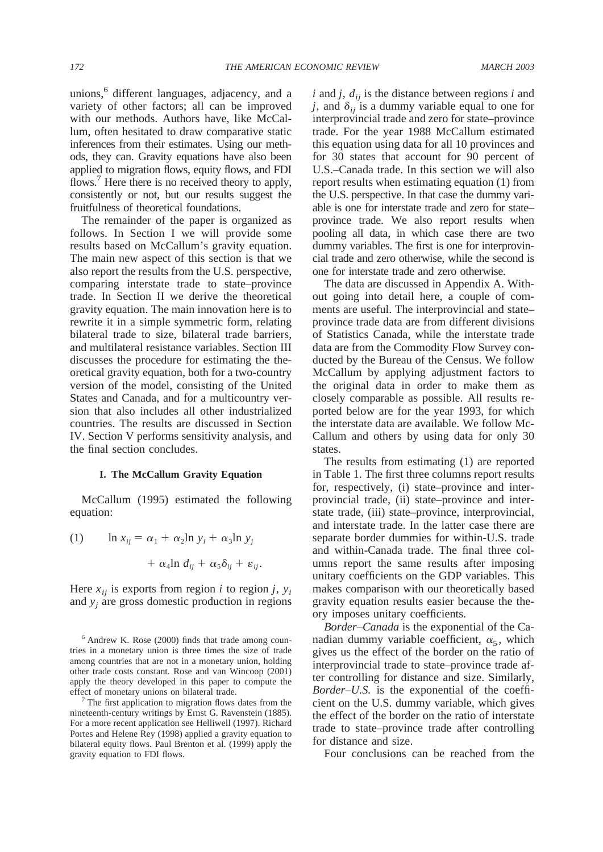unions,<sup>6</sup> different languages, adjacency, and a variety of other factors; all can be improved with our methods. Authors have, like McCallum, often hesitated to draw comparative static inferences from their estimates. Using our methods, they can. Gravity equations have also been applied to migration flows, equity flows, and FDI flows.<sup>7</sup> Here there is no received theory to apply, consistently or not, but our results suggest the fruitfulness of theoretical foundations.

The remainder of the paper is organized as follows. In Section I we will provide some results based on McCallum's gravity equation. The main new aspect of this section is that we also report the results from the U.S. perspective, comparing interstate trade to state–province trade. In Section II we derive the theoretical gravity equation. The main innovation here is to rewrite it in a simple symmetric form, relating bilateral trade to size, bilateral trade barriers, and multilateral resistance variables. Section III discusses the procedure for estimating the theoretical gravity equation, both for a two-country version of the model, consisting of the United States and Canada, and for a multicountry version that also includes all other industrialized countries. The results are discussed in Section IV. Section V performs sensitivity analysis, and the final section concludes.

### **I. The McCallum Gravity Equation**

McCallum (1995) estimated the following equation:

(1) 
$$
\ln x_{ij} = \alpha_1 + \alpha_2 \ln y_i + \alpha_3 \ln y_j + \alpha_4 \ln d_{ij} + \alpha_5 \delta_{ij} + \varepsilon_{ij}.
$$

Here  $x_{ij}$  is exports from region *i* to region *j*,  $y_i$ and  $y_i$  are gross domestic production in regions

nineteenth-century writings by Ernst G. Ravenstein (1885). For a more recent application see Helliwell (1997). Richard Portes and Helene Rey (1998) applied a gravity equation to bilateral equity flows. Paul Brenton et al. (1999) apply the gravity equation to FDI flows.

 $i$  and  $j$ ,  $d_{ij}$  is the distance between regions  $i$  and *j*, and  $\delta_{ij}$  is a dummy variable equal to one for interprovincial trade and zero for state–province trade. For the year 1988 McCallum estimated this equation using data for all 10 provinces and for 30 states that account for 90 percent of U.S.–Canada trade. In this section we will also report results when estimating equation (1) from the U.S. perspective. In that case the dummy variable is one for interstate trade and zero for state– province trade. We also report results when pooling all data, in which case there are two dummy variables. The first is one for interprovincial trade and zero otherwise, while the second is one for interstate trade and zero otherwise.

The data are discussed in Appendix A. Without going into detail here, a couple of comments are useful. The interprovincial and state– province trade data are from different divisions of Statistics Canada, while the interstate trade data are from the Commodity Flow Survey conducted by the Bureau of the Census. We follow McCallum by applying adjustment factors to the original data in order to make them as closely comparable as possible. All results reported below are for the year 1993, for which the interstate data are available. We follow Mc-Callum and others by using data for only 30 states.

The results from estimating (1) are reported in Table 1. The first three columns report results for, respectively, (i) state–province and interprovincial trade, (ii) state–province and interstate trade, (iii) state–province, interprovincial, and interstate trade. In the latter case there are separate border dummies for within-U.S. trade and within-Canada trade. The final three columns report the same results after imposing unitary coefficients on the GDP variables. This makes comparison with our theoretically based gravity equation results easier because the theory imposes unitary coefficients.

*Border–Canada* is the exponential of the Canadian dummy variable coefficient,  $\alpha_5$ , which gives us the effect of the border on the ratio of interprovincial trade to state–province trade after controlling for distance and size. Similarly, *Border–U.S.* is the exponential of the coefficient on the U.S. dummy variable, which gives the effect of the border on the ratio of interstate trade to state–province trade after controlling for distance and size.

Four conclusions can be reached from the

 $6$  Andrew K. Rose (2000) finds that trade among countries in a monetary union is three times the size of trade among countries that are not in a monetary union, holding other trade costs constant. Rose and van Wincoop (2001) apply the theory developed in this paper to compute the effect of monetary unions on bilateral trade.<br><sup>7</sup> The first application to migration flows dates from the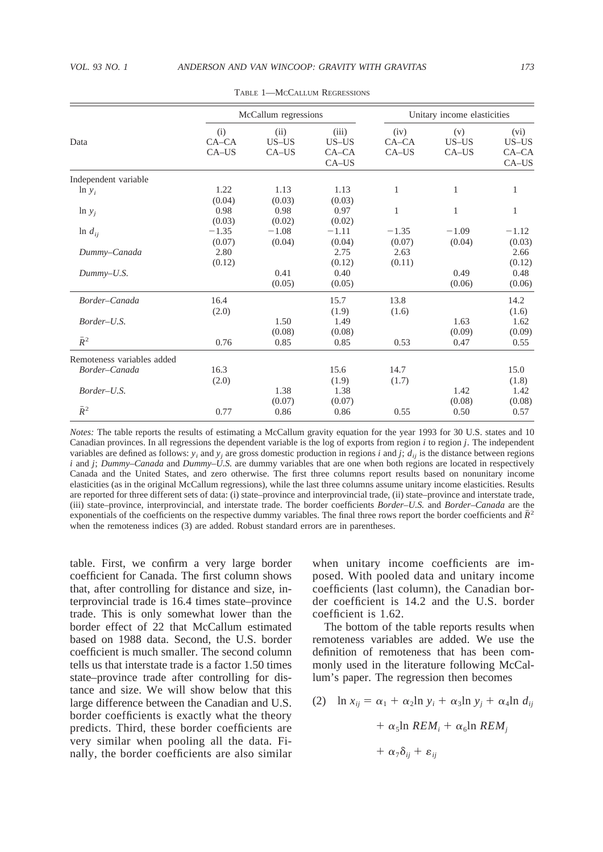|                            |                            | McCallum regressions         |                                          | Unitary income elasticities |                             |                                             |  |
|----------------------------|----------------------------|------------------------------|------------------------------------------|-----------------------------|-----------------------------|---------------------------------------------|--|
| Data                       | (i)<br>$CA-CA$<br>$CA$ -US | (ii)<br>$US$ -US<br>$CA$ -US | (iii)<br>$US$ -US<br>$CA$ -CA<br>$CA-US$ | (iv)<br>$CA-CA$<br>$CA$ -US | (v)<br>$US$ -US<br>$CA$ -US | $(v_i)$<br>$US$ -US<br>$CA$ -CA<br>$CA$ -US |  |
| Independent variable       |                            |                              |                                          |                             |                             |                                             |  |
| $ln y_i$                   | 1.22<br>(0.04)             | 1.13<br>(0.03)               | 1.13<br>(0.03)                           | 1                           | 1                           | 1                                           |  |
| $\ln y_i$                  | 0.98<br>(0.03)             | 0.98<br>(0.02)               | 0.97<br>(0.02)                           | 1                           | $\mathbf{1}$                | 1                                           |  |
| $\ln d_{ii}$               | $-1.35$<br>(0.07)          | $-1.08$<br>(0.04)            | $-1.11$<br>(0.04)                        | $-1.35$<br>(0.07)           | $-1.09$<br>(0.04)           | $-1.12$<br>(0.03)                           |  |
| Dummy-Canada               | 2.80<br>(0.12)             |                              | 2.75<br>(0.12)                           | 2.63<br>(0.11)              |                             | 2.66<br>(0.12)                              |  |
| $Dummv-U.S.$               |                            | 0.41<br>(0.05)               | 0.40<br>(0.05)                           |                             | 0.49<br>(0.06)              | 0.48<br>(0.06)                              |  |
| Border-Canada              | 16.4<br>(2.0)              |                              | 15.7<br>(1.9)                            | 13.8<br>(1.6)               |                             | 14.2<br>(1.6)                               |  |
| Border-U.S.                |                            | 1.50<br>(0.08)               | 1.49<br>(0.08)                           |                             | 1.63<br>(0.09)              | 1.62<br>(0.09)                              |  |
| $\bar{R}^2$                | 0.76                       | 0.85                         | 0.85                                     | 0.53                        | 0.47                        | 0.55                                        |  |
| Remoteness variables added |                            |                              |                                          |                             |                             |                                             |  |
| Border-Canada              | 16.3<br>(2.0)              |                              | 15.6<br>(1.9)                            | 14.7<br>(1.7)               |                             | 15.0<br>(1.8)                               |  |
| Border-U.S.                |                            | 1.38<br>(0.07)               | 1.38<br>(0.07)                           |                             | 1.42<br>(0.08)              | 1.42<br>(0.08)                              |  |
| $\bar{R}^2$                | 0.77                       | 0.86                         | 0.86                                     | 0.55                        | 0.50                        | 0.57                                        |  |

TABLE 1—MCCALLUM REGRESSIONS

*Notes:* The table reports the results of estimating a McCallum gravity equation for the year 1993 for 30 U.S. states and 10 Canadian provinces. In all regressions the dependent variable is the log of exports from region *i* to region *j*. The independent variables are defined as follows:  $y_i$  and  $y_j$  are gross domestic production in regions *i* and *j*;  $d_{ij}$  is the distance between regions *i* and *j*; *Dummy–Canada* and *Dummy–U.S.* are dummy variables that are one when both regions are located in respectively Canada and the United States, and zero otherwise. The first three columns report results based on nonunitary income elasticities (as in the original McCallum regressions), while the last three columns assume unitary income elasticities. Results are reported for three different sets of data: (i) state–province and interprovincial trade, (ii) state–province and interstate trade, (iii) state–province, interprovincial, and interstate trade. The border coefficients *Border–U.S.* and *Border–Canada* are the exponentials of the coefficients on the respective dummy variables. The final three rows report the border coefficients and  $\bar{R}^2$ when the remoteness indices (3) are added. Robust standard errors are in parentheses.

table. First, we confirm a very large border coefficient for Canada. The first column shows that, after controlling for distance and size, interprovincial trade is 16.4 times state–province trade. This is only somewhat lower than the border effect of 22 that McCallum estimated based on 1988 data. Second, the U.S. border coefficient is much smaller. The second column tells us that interstate trade is a factor 1.50 times state–province trade after controlling for distance and size. We will show below that this large difference between the Canadian and U.S. border coefficients is exactly what the theory predicts. Third, these border coefficients are very similar when pooling all the data. Finally, the border coefficients are also similar when unitary income coefficients are imposed. With pooled data and unitary income coefficients (last column), the Canadian border coefficient is 14.2 and the U.S. border coefficient is 1.62.

The bottom of the table reports results when remoteness variables are added. We use the definition of remoteness that has been commonly used in the literature following McCallum's paper. The regression then becomes

(2) 
$$
\ln x_{ij} = \alpha_1 + \alpha_2 \ln y_i + \alpha_3 \ln y_j + \alpha_4 \ln d_{ij}
$$
  
+  $\alpha_5 \ln REM_i + \alpha_6 \ln REM_j$   
+  $\alpha_7 \delta_{ij} + \varepsilon_{ij}$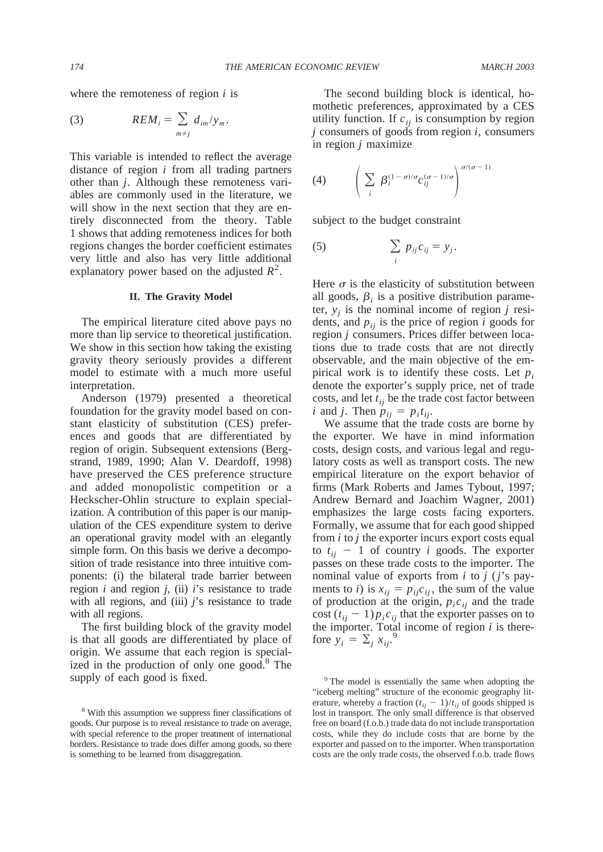where the remoteness of region *i* is

(3) 
$$
REM_i = \sum_{m \neq j} d_{im}/y_m.
$$

This variable is intended to reflect the average distance of region *i* from all trading partners other than *j*. Although these remoteness variables are commonly used in the literature, we will show in the next section that they are entirely disconnected from the theory. Table 1 shows that adding remoteness indices for both regions changes the border coefficient estimates very little and also has very little additional explanatory power based on the adjusted  $R^2$ .

### **II. The Gravity Model**

The empirical literature cited above pays no more than lip service to theoretical justification. We show in this section how taking the existing gravity theory seriously provides a different model to estimate with a much more useful interpretation.

Anderson (1979) presented a theoretical foundation for the gravity model based on constant elasticity of substitution (CES) preferences and goods that are differentiated by region of origin. Subsequent extensions (Bergstrand, 1989, 1990; Alan V. Deardoff, 1998) have preserved the CES preference structure and added monopolistic competition or a Heckscher-Ohlin structure to explain specialization. A contribution of this paper is our manipulation of the CES expenditure system to derive an operational gravity model with an elegantly simple form. On this basis we derive a decomposition of trade resistance into three intuitive components: (i) the bilateral trade barrier between region *i* and region *j*, (ii) *i*'s resistance to trade with all regions, and (iii)  $j$ 's resistance to trade with all regions.

The first building block of the gravity model is that all goods are differentiated by place of origin. We assume that each region is specialized in the production of only one good.<sup>8</sup> The supply of each good is fixed.

The second building block is identical, homothetic preferences, approximated by a CES utility function. If  $c_{ij}$  is consumption by region *j* consumers of goods from region *i*, consumers in region *j* maximize

(4) 
$$
\left(\sum_{i}\beta_{i}^{(1-\sigma)/\sigma}c_{ij}^{(\sigma-1)/\sigma}\right)^{\sigma/(\sigma-1)}
$$

subject to the budget constraint

$$
(5) \qquad \qquad \sum_{i} p_{ij}c_{ij} = y_j.
$$

Here  $\sigma$  is the elasticity of substitution between all goods,  $\beta_i$  is a positive distribution parameter,  $y_i$  is the nominal income of region  $j$  residents, and  $p_{ij}$  is the price of region  $i$  goods for region *j* consumers. Prices differ between locations due to trade costs that are not directly observable, and the main objective of the empirical work is to identify these costs. Let  $p_i$ denote the exporter's supply price, net of trade costs, and let  $t_{ij}$  be the trade cost factor between *i* and *j*. Then  $p_{ij} = p_i t_{ij}$ .

We assume that the trade costs are borne by the exporter. We have in mind information costs, design costs, and various legal and regulatory costs as well as transport costs. The new empirical literature on the export behavior of firms (Mark Roberts and James Tybout, 1997; Andrew Bernard and Joachim Wagner, 2001) emphasizes the large costs facing exporters. Formally, we assume that for each good shipped from *i* to *j* the exporter incurs export costs equal to  $t_{ij}$  – 1 of country *i* goods. The exporter passes on these trade costs to the importer. The nominal value of exports from *i* to *j* (*j*'s payments to *i*) is  $x_{ij} = p_{ij}c_{ij}$ , the sum of the value of production at the origin,  $p_i c_{ij}$  and the trade  $\cot(t_{ij} - 1)p_i c_{ij}$  that the exporter passes on to the importer. Total income of region  $i$  is therefore  $y_i = \sum_j x_{ij}$ .<sup>9</sup>

<sup>8</sup> With this assumption we suppress finer classifications of goods. Our purpose is to reveal resistance to trade on average, with special reference to the proper treatment of international borders. Resistance to trade does differ among goods, so there is something to be learned from disaggregation.

<sup>9</sup> The model is essentially the same when adopting the "iceberg melting" structure of the economic geography literature, whereby a fraction  $(t_{ij} - 1)/t_{ij}$  of goods shipped is lost in transport. The only small difference is that observed free on board (f.o.b.) trade data do not include transportation costs, while they do include costs that are borne by the exporter and passed on to the importer. When transportation costs are the only trade costs, the observed f.o.b. trade flows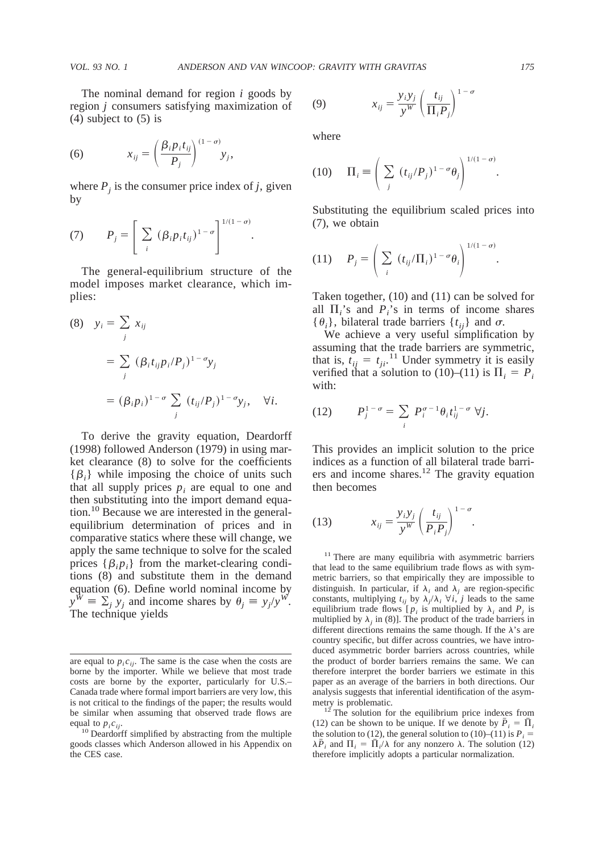The nominal demand for region *i* goods by region *j* consumers satisfying maximization of (4) subject to (5) is

(6) 
$$
x_{ij} = \left(\frac{\beta_i p_i t_{ij}}{P_j}\right)^{(1-\sigma)} y_j,
$$

where  $P_i$  is the consumer price index of *j*, given by

(7) 
$$
P_j = \left[ \sum_i (\beta_i p_i t_{ij})^{1-\sigma} \right]^{1/(1-\sigma)}.
$$

The general-equilibrium structure of the model imposes market clearance, which implies:

(8) 
$$
y_i = \sum_j x_{ij}
$$
  
\n
$$
= \sum_j (\beta_i t_{ij} p_i / P_j)^{1-\sigma} y_j
$$
\n
$$
= (\beta_i p_i)^{1-\sigma} \sum_j (t_{ij} / P_j)^{1-\sigma} y_j, \quad \forall i.
$$

To derive the gravity equation, Deardorff (1998) followed Anderson (1979) in using market clearance (8) to solve for the coefficients  $\{\beta_i\}$  while imposing the choice of units such that all supply prices  $p_i$  are equal to one and then substituting into the import demand equation.10 Because we are interested in the generalequilibrium determination of prices and in comparative statics where these will change, we apply the same technique to solve for the scaled prices  $\{\beta_i p_i\}$  from the market-clearing conditions (8) and substitute them in the demand equation (6). Define world nominal income by  $y^{\hat{W}} \equiv \sum_j y_j$  and income shares by  $\theta_j \equiv y_j/y^{\hat{W}}$ . The technique yields

(9) 
$$
x_{ij} = \frac{y_i y_j}{y^W} \left(\frac{t_{ij}}{\Pi_i P_j}\right)^{1-\sigma}
$$

where

$$
(10) \quad \Pi_i \equiv \left( \sum_j (t_{ij}/P_j)^{1-\sigma} \theta_j \right)^{1/(1-\sigma)}
$$

Substituting the equilibrium scaled prices into (7), we obtain

$$
(11) \t P_j = \left( \sum_i (t_{ij}/\Pi_i)^{1-\sigma} \theta_i \right)^{1/(1-\sigma)}.
$$

Taken together, (10) and (11) can be solved for all  $\Pi_i$ 's and  $P_i$ 's in terms of income shares  $\{\theta_i\}$ , bilateral trade barriers  $\{t_{ij}\}\$ and  $\sigma$ .

We achieve a very useful simplification by assuming that the trade barriers are symmetric, that is,  $t_{ij} = t_{ji}$ .<sup>11</sup> Under symmetry it is easily verified that a solution to (10)–(11) is  $\Pi_i = P_i$ with:

$$
(12) \t P_j^{1-\sigma} = \sum_i P_i^{\sigma-1} \theta_i t_{ij}^{1-\sigma} \ \forall j.
$$

This provides an implicit solution to the price indices as a function of all bilateral trade barriers and income shares.<sup>12</sup> The gravity equation then becomes

(13) 
$$
x_{ij} = \frac{y_i y_j}{y^W} \left(\frac{t_{ij}}{P_i P_j}\right)^{1-\sigma}.
$$

<sup>11</sup> There are many equilibria with asymmetric barriers that lead to the same equilibrium trade flows as with symmetric barriers, so that empirically they are impossible to distinguish. In particular, if  $\lambda_i$  and  $\lambda_j$  are region-specific constants, multiplying  $t_{ij}$  by  $\lambda_j/\lambda_i$   $\forall i, j$  leads to the same equilibrium trade flows  $[p_i]$  is multiplied by  $\lambda_i$  and  $P_j$  is multiplied by  $\lambda$ , in (8)]. The product of the trade barriers in different directions remains the same though. If the  $\lambda$ 's are country specific, but differ across countries, we have introduced asymmetric border barriers across countries, while the product of border barriers remains the same. We can therefore interpret the border barriers we estimate in this paper as an average of the barriers in both directions. Our analysis suggests that inferential identification of the asym-

metry is problematic.<br><sup>12</sup> The solution for the equilibrium price indexes from (12) can be shown to be unique. If we denote by  $\overline{P}_i = \overline{\Pi}_i$ the solution to (12), the general solution to (10)–(11) is  $P_i$  =  $\lambda \bar{P}_i$  and  $\Pi_i = \bar{\Pi}_i / \lambda$  for any nonzero  $\lambda$ . The solution (12) therefore implicitly adopts a particular normalization.

.

.

are equal to  $p_i c_{ij}$ . The same is the case when the costs are borne by the importer. While we believe that most trade costs are borne by the exporter, particularly for U.S.– Canada trade where formal import barriers are very low, this is not critical to the findings of the paper; the results would be similar when assuming that observed trade flows are

equal to  $p_i c_{ij}$ .<br><sup>10</sup> Deardorff simplified by abstracting from the multiple goods classes which Anderson allowed in his Appendix on the CES case.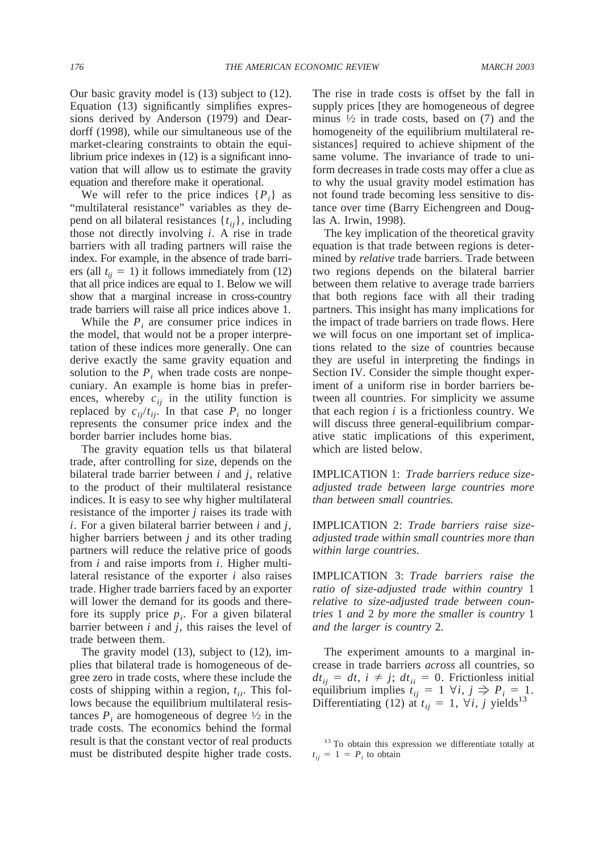Our basic gravity model is (13) subject to (12). Equation (13) significantly simplifies expressions derived by Anderson (1979) and Deardorff (1998), while our simultaneous use of the market-clearing constraints to obtain the equilibrium price indexes in (12) is a significant innovation that will allow us to estimate the gravity equation and therefore make it operational.

We will refer to the price indices  $\{P_i\}$  as "multilateral resistance" variables as they depend on all bilateral resistances  $\{t_{ii}\}\$ , including those not directly involving *i*. A rise in trade barriers with all trading partners will raise the index. For example, in the absence of trade barriers (all  $t_{ii} = 1$ ) it follows immediately from (12) that all price indices are equal to 1. Below we will show that a marginal increase in cross-country trade barriers will raise all price indices above 1.

While the  $P_i$  are consumer price indices in the model, that would not be a proper interpretation of these indices more generally. One can derive exactly the same gravity equation and solution to the  $P_i$  when trade costs are nonpecuniary. An example is home bias in preferences, whereby  $c_{ij}$  in the utility function is replaced by  $c_{ij}/t_{ij}$ . In that case  $P_i$  no longer represents the consumer price index and the border barrier includes home bias.

The gravity equation tells us that bilateral trade, after controlling for size, depends on the bilateral trade barrier between *i* and *j*, relative to the product of their multilateral resistance indices. It is easy to see why higher multilateral resistance of the importer *j* raises its trade with *i*. For a given bilateral barrier between *i* and *j*, higher barriers between *j* and its other trading partners will reduce the relative price of goods from *i* and raise imports from *i*. Higher multilateral resistance of the exporter *i* also raises trade. Higher trade barriers faced by an exporter will lower the demand for its goods and therefore its supply price  $p_i$ . For a given bilateral barrier between *i* and *j*, this raises the level of trade between them.

The gravity model (13), subject to (12), implies that bilateral trade is homogeneous of degree zero in trade costs, where these include the costs of shipping within a region,  $t_{ii}$ . This follows because the equilibrium multilateral resistances  $P_i$  are homogeneous of degree  $\frac{1}{2}$  in the trade costs. The economics behind the formal result is that the constant vector of real products must be distributed despite higher trade costs.

The rise in trade costs is offset by the fall in supply prices [they are homogeneous of degree minus  $\frac{1}{2}$  in trade costs, based on (7) and the homogeneity of the equilibrium multilateral resistances] required to achieve shipment of the same volume. The invariance of trade to uniform decreases in trade costs may offer a clue as to why the usual gravity model estimation has not found trade becoming less sensitive to distance over time (Barry Eichengreen and Douglas A. Irwin, 1998).

The key implication of the theoretical gravity equation is that trade between regions is determined by *relative* trade barriers. Trade between two regions depends on the bilateral barrier between them relative to average trade barriers that both regions face with all their trading partners. This insight has many implications for the impact of trade barriers on trade flows. Here we will focus on one important set of implications related to the size of countries because they are useful in interpreting the findings in Section IV. Consider the simple thought experiment of a uniform rise in border barriers between all countries. For simplicity we assume that each region *i* is a frictionless country. We will discuss three general-equilibrium comparative static implications of this experiment, which are listed below.

IMPLICATION 1: *Trade barriers reduce sizeadjusted trade between large countries more than between small countries.*

IMPLICATION 2: *Trade barriers raise sizeadjusted trade within small countries more than within large countries.*

IMPLICATION 3: *Trade barriers raise the ratio of size-adjusted trade within country* 1 *relative to size-adjusted trade between countries* 1 *and* 2 *by more the smaller is country* 1 *and the larger is country* 2.

The experiment amounts to a marginal increase in trade barriers *across* all countries, so  $dt_{ij} = dt$ ,  $i \neq j$ ;  $dt_{ii} = 0$ . Frictionless initial equilibrium implies  $t_{ij} = 1 \ \forall i, j \Rightarrow P_i = 1$ . Differentiating (12) at  $t_{ij} = 1$ ,  $\forall i$ , *j* yields<sup>13</sup>

<sup>&</sup>lt;sup>13</sup> To obtain this expression we differentiate totally at  $t_{ii}$  = 1 =  $P_i$  to obtain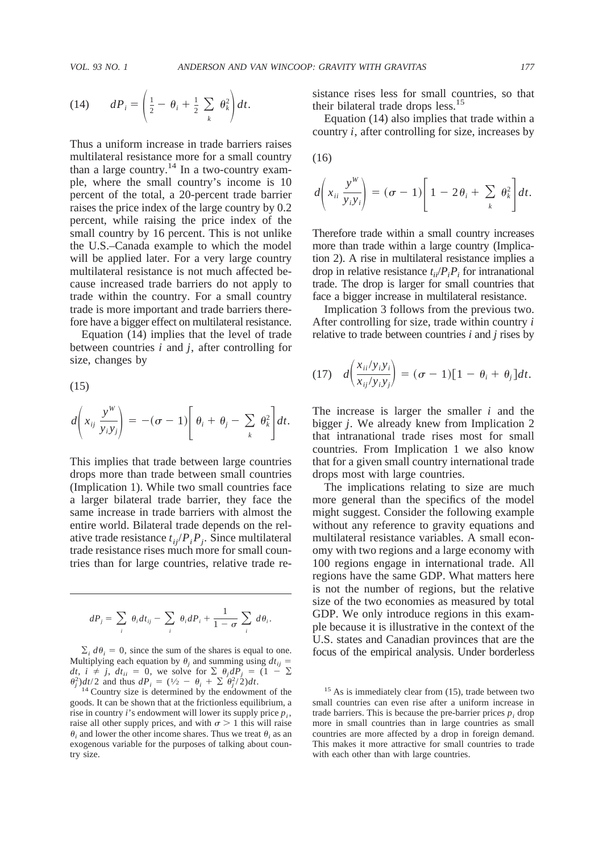(16)

(14) 
$$
dP_i = \left(\frac{1}{2} - \theta_i + \frac{1}{2} \sum_k \theta_k^2\right) dt.
$$

Thus a uniform increase in trade barriers raises multilateral resistance more for a small country than a large country.<sup>14</sup> In a two-country example, where the small country's income is 10 percent of the total, a 20-percent trade barrier raises the price index of the large country by 0.2 percent, while raising the price index of the small country by 16 percent. This is not unlike the U.S.–Canada example to which the model will be applied later. For a very large country multilateral resistance is not much affected because increased trade barriers do not apply to trade within the country. For a small country trade is more important and trade barriers therefore have a bigger effect on multilateral resistance.

Equation (14) implies that the level of trade between countries *i* and *j*, after controlling for size, changes by

(15)  
\n
$$
d\left(x_{ij}\frac{y^{W}}{y_{i}y_{j}}\right) = -(\sigma - 1)\left[\theta_{i} + \theta_{j} - \sum_{k}\theta_{k}^{2}\right]dt.
$$

This implies that trade between large countries drops more than trade between small countries (Implication 1). While two small countries face a larger bilateral trade barrier, they face the same increase in trade barriers with almost the entire world. Bilateral trade depends on the relative trade resistance *tij*/*PiPj* . Since multilateral trade resistance rises much more for small countries than for large countries, relative trade re-

$$
dP_j = \sum_i \theta_i dt_{ij} - \sum_i \theta_i dP_i + \frac{1}{1-\sigma} \sum_i d\theta_i.
$$

 $\sum_i d\theta_i = 0$ , since the sum of the shares is equal to one. Multiplying each equation by  $\theta_i$  and summing using  $dt_{ij}$  =  $dt, i \neq j, dt_{ii} = 0$ , we solve for  $\sum \theta_j dP_j = (1 - \sum$  $\theta_i^2$ )*dt*/2 and thus  $dP_i = (1/2 - \theta_i + \sum \theta_i^2)$ 

<sup>14</sup> Country size is determined by the endowment of the goods. It can be shown that at the frictionless equilibrium, a rise in country *i*'s endowment will lower its supply price  $p_i$ , raise all other supply prices, and with  $\sigma > 1$  this will raise  $\theta$  and lower the other income shares. Thus we treat  $\theta$  as an exogenous variable for the purposes of talking about country size.

sistance rises less for small countries, so that their bilateral trade drops less.<sup>15</sup>

Equation (14) also implies that trade within a country *i*, after controlling for size, increases by

$$
d\left(x_i, \frac{y^W}{y_i y_i}\right) = (\sigma - 1)\bigg[1 - 2\theta_i + \sum_k \theta_k^2\bigg]dt.
$$

Therefore trade within a small country increases more than trade within a large country (Implication 2). A rise in multilateral resistance implies a drop in relative resistance  $t_i/P_iP_i$  for intranational trade. The drop is larger for small countries that face a bigger increase in multilateral resistance.

Implication 3 follows from the previous two. After controlling for size, trade within country *i* relative to trade between countries *i* and *j* rises by

(17) 
$$
d\left(\frac{x_{ii}/y_iy_i}{x_{ij}/y_iy_j}\right) = (\sigma - 1)[1 - \theta_i + \theta_j]dt.
$$

The increase is larger the smaller *i* and the bigger *j*. We already knew from Implication 2 that intranational trade rises most for small countries. From Implication 1 we also know that for a given small country international trade drops most with large countries.

The implications relating to size are much more general than the specifics of the model might suggest. Consider the following example without any reference to gravity equations and multilateral resistance variables. A small economy with two regions and a large economy with 100 regions engage in international trade. All regions have the same GDP. What matters here is not the number of regions, but the relative size of the two economies as measured by total GDP. We only introduce regions in this example because it is illustrative in the context of the U.S. states and Canadian provinces that are the focus of the empirical analysis. Under borderless

<sup>&</sup>lt;sup>15</sup> As is immediately clear from (15), trade between two small countries can even rise after a uniform increase in trade barriers. This is because the pre-barrier prices  $p_i$  drop more in small countries than in large countries as small countries are more affected by a drop in foreign demand. This makes it more attractive for small countries to trade with each other than with large countries.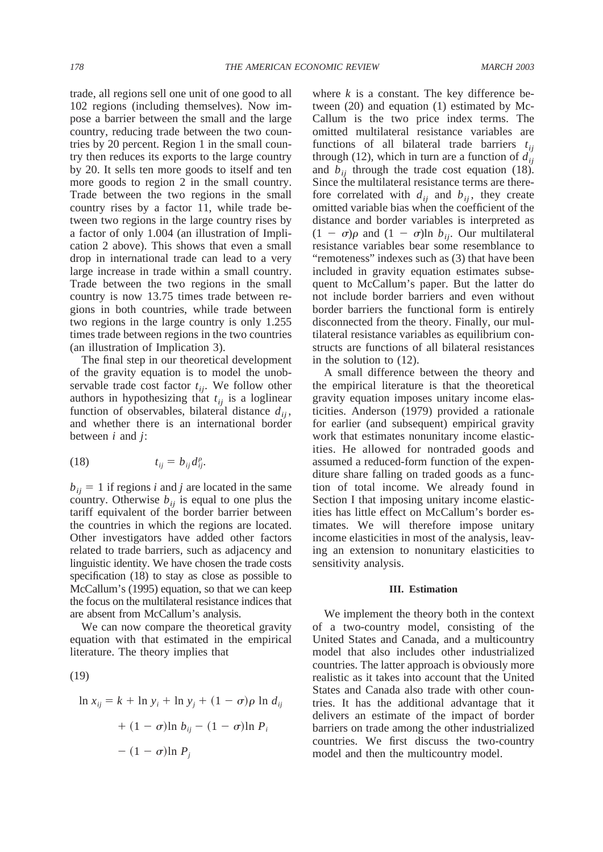trade, all regions sell one unit of one good to all 102 regions (including themselves). Now impose a barrier between the small and the large country, reducing trade between the two countries by 20 percent. Region 1 in the small country then reduces its exports to the large country by 20. It sells ten more goods to itself and ten more goods to region 2 in the small country. Trade between the two regions in the small country rises by a factor 11, while trade between two regions in the large country rises by a factor of only 1.004 (an illustration of Implication 2 above). This shows that even a small drop in international trade can lead to a very large increase in trade within a small country. Trade between the two regions in the small country is now 13.75 times trade between regions in both countries, while trade between two regions in the large country is only 1.255 times trade between regions in the two countries (an illustration of Implication 3).

The final step in our theoretical development of the gravity equation is to model the unobservable trade cost factor  $t_{ij}$ . We follow other authors in hypothesizing that  $t_{ij}$  is a loglinear function of observables, bilateral distance  $d_{ii}$ , and whether there is an international border between *i* and *j*:

$$
(18) \t t_{ij} = b_{ij} d_{ij}^{\rho}.
$$

(19)

 $b_{ii}$  = 1 if regions *i* and *j* are located in the same country. Otherwise  $b_{ij}$  is equal to one plus the tariff equivalent of the border barrier between the countries in which the regions are located. Other investigators have added other factors related to trade barriers, such as adjacency and linguistic identity. We have chosen the trade costs specification (18) to stay as close as possible to McCallum's (1995) equation, so that we can keep the focus on the multilateral resistance indices that are absent from McCallum's analysis.

We can now compare the theoretical gravity equation with that estimated in the empirical literature. The theory implies that

 $\ln x_{ij} = k + \ln y_i + \ln y_j + (1 - \sigma)\rho \ln d_{ij}$  $+ (1 - \sigma) \ln b_{ij} - (1 - \sigma) \ln P_i$  $- (1 - \sigma) \ln P_j$ 

where *k* is a constant. The key difference between (20) and equation (1) estimated by Mc-Callum is the two price index terms. The omitted multilateral resistance variables are functions of all bilateral trade barriers  $t_{ii}$ through (12), which in turn are a function of  $d_{ii}$ and  $b_{ii}$  through the trade cost equation (18). Since the multilateral resistance terms are therefore correlated with  $d_{ij}$  and  $b_{ij}$ , they create omitted variable bias when the coefficient of the distance and border variables is interpreted as  $(1 - \sigma)\rho$  and  $(1 - \sigma)$ ln  $b_{ij}$ . Our multilateral resistance variables bear some resemblance to "remoteness" indexes such as (3) that have been included in gravity equation estimates subsequent to McCallum's paper. But the latter do not include border barriers and even without border barriers the functional form is entirely disconnected from the theory. Finally, our multilateral resistance variables as equilibrium constructs are functions of all bilateral resistances in the solution to (12).

A small difference between the theory and the empirical literature is that the theoretical gravity equation imposes unitary income elasticities. Anderson (1979) provided a rationale for earlier (and subsequent) empirical gravity work that estimates nonunitary income elasticities. He allowed for nontraded goods and assumed a reduced-form function of the expenditure share falling on traded goods as a function of total income. We already found in Section I that imposing unitary income elasticities has little effect on McCallum's border estimates. We will therefore impose unitary income elasticities in most of the analysis, leaving an extension to nonunitary elasticities to sensitivity analysis.

#### **III. Estimation**

We implement the theory both in the context of a two-country model, consisting of the United States and Canada, and a multicountry model that also includes other industrialized countries. The latter approach is obviously more realistic as it takes into account that the United States and Canada also trade with other countries. It has the additional advantage that it delivers an estimate of the impact of border barriers on trade among the other industrialized countries. We first discuss the two-country model and then the multicountry model.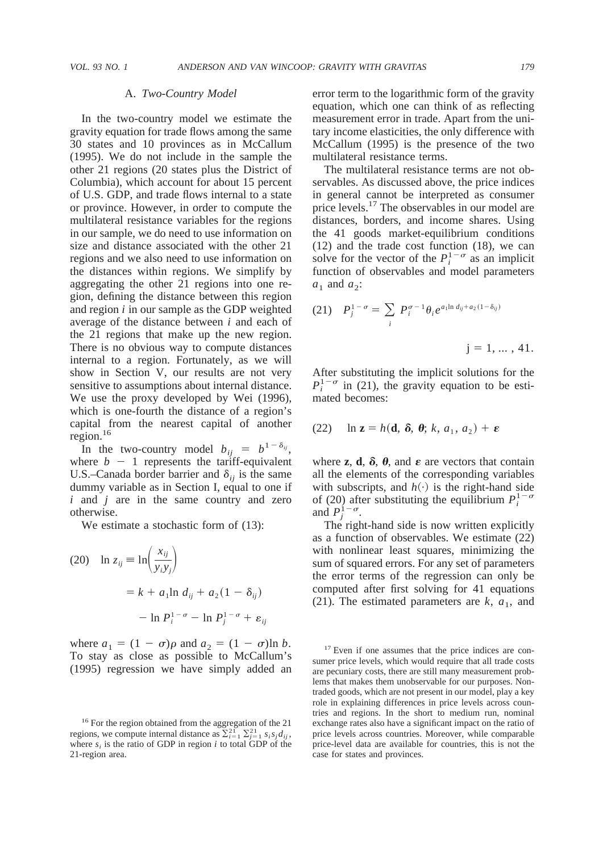### A. *Two-Country Model*

In the two-country model we estimate the gravity equation for trade flows among the same 30 states and 10 provinces as in McCallum (1995). We do not include in the sample the other 21 regions (20 states plus the District of Columbia), which account for about 15 percent of U.S. GDP, and trade flows internal to a state or province. However, in order to compute the multilateral resistance variables for the regions in our sample, we do need to use information on size and distance associated with the other 21 regions and we also need to use information on the distances within regions. We simplify by aggregating the other 21 regions into one region, defining the distance between this region and region *i* in our sample as the GDP weighted average of the distance between *i* and each of the 21 regions that make up the new region. There is no obvious way to compute distances internal to a region. Fortunately, as we will show in Section V, our results are not very sensitive to assumptions about internal distance. We use the proxy developed by Wei (1996), which is one-fourth the distance of a region's capital from the nearest capital of another region.16

In the two-country model  $b_{ij} = b^{1-\delta_{ij}}$ , where  $b - 1$  represents the tariff-equivalent U.S.–Canada border barrier and  $\delta_{ij}$  is the same dummy variable as in Section I, equal to one if *i* and *j* are in the same country and zero otherwise.

We estimate a stochastic form of  $(13)$ :

(20) 
$$
\ln z_{ij} \equiv \ln \left( \frac{x_{ij}}{y_i y_j} \right)
$$

$$
= k + a_1 \ln d_{ij} + a_2 (1 - \delta_{ij})
$$

$$
- \ln P_i^{1-\sigma} - \ln P_j^{1-\sigma} + \varepsilon_{ij}
$$

where  $a_1 = (1 - \sigma)\rho$  and  $a_2 = (1 - \sigma)\ln b$ . To stay as close as possible to McCallum's (1995) regression we have simply added an error term to the logarithmic form of the gravity equation, which one can think of as reflecting measurement error in trade. Apart from the unitary income elasticities, the only difference with McCallum (1995) is the presence of the two multilateral resistance terms.

The multilateral resistance terms are not observables. As discussed above, the price indices in general cannot be interpreted as consumer price levels.<sup>17</sup> The observables in our model are distances, borders, and income shares. Using the 41 goods market-equilibrium conditions (12) and the trade cost function (18), we can solve for the vector of the  $P_i^{1-\sigma}$  as an implicit function of observables and model parameters  $a_1$  and  $a_2$ :

(21) 
$$
P_j^{1-\sigma} = \sum_i P_i^{\sigma-1} \theta_i e^{a_1 \ln d_{ij} + a_2 (1-\delta_{ij})}
$$
  
 $j = 1, ..., 41.$ 

After substituting the implicit solutions for the  $P_i^{1-\sigma}$  in (21), the gravity equation to be estimated becomes:

(22) 
$$
\ln z = h(d, \delta, \theta; k, a_1, a_2) + \varepsilon
$$

where  $z$ , **d**,  $\delta$ ,  $\theta$ , and  $\varepsilon$  are vectors that contain all the elements of the corresponding variables with subscripts, and  $h(\cdot)$  is the right-hand side of (20) after substituting the equilibrium  $P_i^{1-\sigma}$ and  $P_j^{\hat{1}-\sigma}$ .

The right-hand side is now written explicitly as a function of observables. We estimate (22) with nonlinear least squares, minimizing the sum of squared errors. For any set of parameters the error terms of the regression can only be computed after first solving for 41 equations (21). The estimated parameters are  $k$ ,  $a<sub>1</sub>$ , and

<sup>&</sup>lt;sup>16</sup> For the region obtained from the aggregation of the 21 regions, we compute internal distance as  $\sum_{i=1}^{21} \sum_{j=1}^{21} s_i s_j d_{ij}$ , where  $s_i$  is the ratio of GDP in region  $i$  to total GDP of the 21-region area.

<sup>&</sup>lt;sup>17</sup> Even if one assumes that the price indices are consumer price levels, which would require that all trade costs are pecuniary costs, there are still many measurement problems that makes them unobservable for our purposes. Nontraded goods, which are not present in our model, play a key role in explaining differences in price levels across countries and regions. In the short to medium run, nominal exchange rates also have a significant impact on the ratio of price levels across countries. Moreover, while comparable price-level data are available for countries, this is not the case for states and provinces.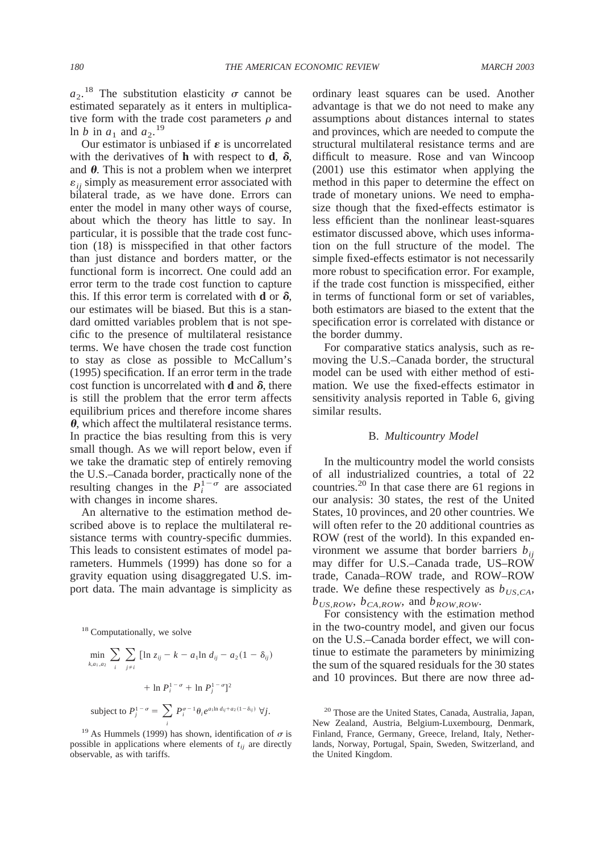$a_2$ <sup>18</sup> The substitution elasticity  $\sigma$  cannot be estimated separately as it enters in multiplicative form with the trade cost parameters  $\rho$  and ln *b* in  $a_1$  and  $a_2$ .<sup>19</sup>

Our estimator is unbiased if  $\varepsilon$  is uncorrelated with the derivatives of **h** with respect to **d**,  $\delta$ , and  $\theta$ . This is not a problem when we interpret  $\varepsilon_{ij}$  simply as measurement error associated with bilateral trade, as we have done. Errors can enter the model in many other ways of course, about which the theory has little to say. In particular, it is possible that the trade cost function (18) is misspecified in that other factors than just distance and borders matter, or the functional form is incorrect. One could add an error term to the trade cost function to capture this. If this error term is correlated with **d** or  $\delta$ , our estimates will be biased. But this is a standard omitted variables problem that is not specific to the presence of multilateral resistance terms. We have chosen the trade cost function to stay as close as possible to McCallum's (1995) specification. If an error term in the trade cost function is uncorrelated with  $d$  and  $\delta$ , there is still the problem that the error term affects equilibrium prices and therefore income shares  $\theta$ , which affect the multilateral resistance terms. In practice the bias resulting from this is very small though. As we will report below, even if we take the dramatic step of entirely removing the U.S.–Canada border, practically none of the resulting changes in the  $P_i^{1-\sigma}$  are associated with changes in income shares.

An alternative to the estimation method described above is to replace the multilateral resistance terms with country-specific dummies. This leads to consistent estimates of model parameters. Hummels (1999) has done so for a gravity equation using disaggregated U.S. import data. The main advantage is simplicity as

$$
\min_{k, a_1, a_2} \sum_{i} \sum_{j \neq i} [\ln z_{ij} - k - a_1 \ln d_{ij} - a_2 (1 - \delta_{ij}) + \ln P_i^{1 - \sigma} + \ln P_j^{1 - \sigma}]^2
$$
\n
$$
\text{subject to } P_j^{1 - \sigma} = \sum_{i} P_i^{\sigma - 1} \theta_i e^{a_1 \ln d_{ij} + a_2 (1 - \delta_{ij})} \ \forall j.
$$

<sup>19</sup> As Hummels (1999) has shown, identification of  $\sigma$  is possible in applications where elements of  $t_{ij}$  are directly observable, as with tariffs.

ordinary least squares can be used. Another advantage is that we do not need to make any assumptions about distances internal to states and provinces, which are needed to compute the structural multilateral resistance terms and are difficult to measure. Rose and van Wincoop (2001) use this estimator when applying the method in this paper to determine the effect on trade of monetary unions. We need to emphasize though that the fixed-effects estimator is less efficient than the nonlinear least-squares estimator discussed above, which uses information on the full structure of the model. The simple fixed-effects estimator is not necessarily more robust to specification error. For example, if the trade cost function is misspecified, either in terms of functional form or set of variables, both estimators are biased to the extent that the specification error is correlated with distance or the border dummy.

For comparative statics analysis, such as removing the U.S.–Canada border, the structural model can be used with either method of estimation. We use the fixed-effects estimator in sensitivity analysis reported in Table 6, giving similar results.

### B. *Multicountry Model*

In the multicountry model the world consists of all industrialized countries, a total of 22 countries.20 In that case there are 61 regions in our analysis: 30 states, the rest of the United States, 10 provinces, and 20 other countries. We will often refer to the 20 additional countries as ROW (rest of the world). In this expanded environment we assume that border barriers  $b_{ii}$ may differ for U.S.–Canada trade, US–ROW trade, Canada–ROW trade, and ROW–ROW trade. We define these respectively as  $b_{\text{US CA}}$ ,  $b_{US,ROW}$ ,  $b_{CA,ROW}$ , and  $b_{ROW,ROW}$ .

For consistency with the estimation method in the two-country model, and given our focus on the U.S.–Canada border effect, we will continue to estimate the parameters by minimizing the sum of the squared residuals for the 30 states and 10 provinces. But there are now three ad-

<sup>&</sup>lt;sup>18</sup> Computationally, we solve

<sup>20</sup> Those are the United States, Canada, Australia, Japan, New Zealand, Austria, Belgium-Luxembourg, Denmark, Finland, France, Germany, Greece, Ireland, Italy, Netherlands, Norway, Portugal, Spain, Sweden, Switzerland, and the United Kingdom.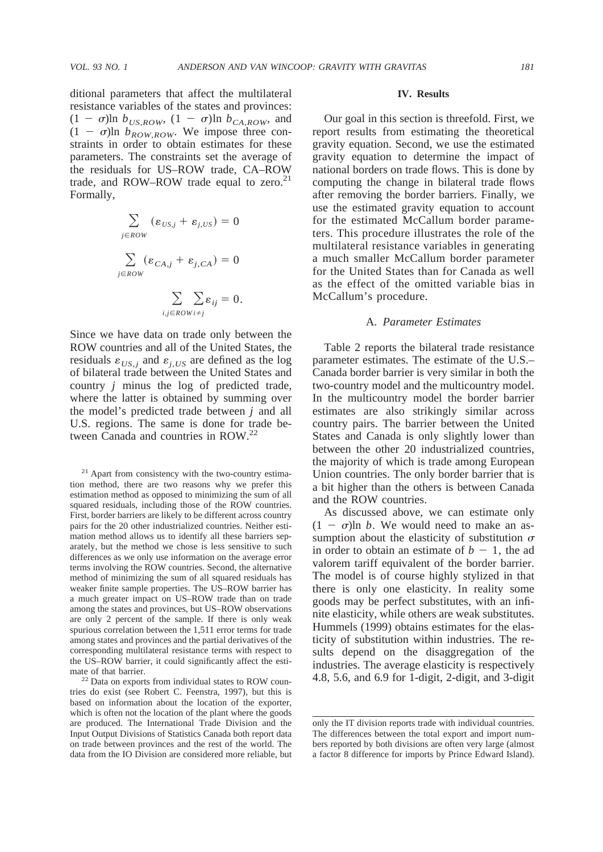ditional parameters that affect the multilateral resistance variables of the states and provinces:  $(1 - \sigma)$ ln  $b_{US,ROW}$ ,  $(1 - \sigma)$ ln  $b_{CA,ROW}$ , and  $(1 - \sigma)$ ln  $b_{ROW,ROW}$ . We impose three constraints in order to obtain estimates for these parameters. The constraints set the average of the residuals for US–ROW trade, CA–ROW trade, and ROW–ROW trade equal to zero.<sup>21</sup> Formally,

$$
\sum_{j \in ROW} (\varepsilon_{US,j} + \varepsilon_{j,US}) = 0
$$

$$
\sum_{j \in ROW} (\varepsilon_{CA,j} + \varepsilon_{j,CA}) = 0
$$

$$
\sum_{i,j \in ROW} \sum_{i \neq j} \varepsilon_{ij} = 0.
$$

Since we have data on trade only between the ROW countries and all of the United States, the residuals  $\varepsilon_{US,i}$  and  $\varepsilon_{i,US}$  are defined as the log of bilateral trade between the United States and country *j* minus the log of predicted trade, where the latter is obtained by summing over the model's predicted trade between *j* and all U.S. regions. The same is done for trade between Canada and countries in ROW.22

<sup>21</sup> Apart from consistency with the two-country estimation method, there are two reasons why we prefer this estimation method as opposed to minimizing the sum of all squared residuals, including those of the ROW countries. First, border barriers are likely to be different across country pairs for the 20 other industrialized countries. Neither estimation method allows us to identify all these barriers separately, but the method we chose is less sensitive to such differences as we only use information on the average error terms involving the ROW countries. Second, the alternative method of minimizing the sum of all squared residuals has weaker finite sample properties. The US–ROW barrier has a much greater impact on US–ROW trade than on trade among the states and provinces, but US–ROW observations are only 2 percent of the sample. If there is only weak spurious correlation between the 1,511 error terms for trade among states and provinces and the partial derivatives of the corresponding multilateral resistance terms with respect to the US–ROW barrier, it could significantly affect the estimate of that barrier.<br><sup>22</sup> Data on exports from individual states to ROW coun-

tries do exist (see Robert C. Feenstra, 1997), but this is based on information about the location of the exporter, which is often not the location of the plant where the goods are produced. The International Trade Division and the Input Output Divisions of Statistics Canada both report data on trade between provinces and the rest of the world. The data from the IO Division are considered more reliable, but

### **IV. Results**

Our goal in this section is threefold. First, we report results from estimating the theoretical gravity equation. Second, we use the estimated gravity equation to determine the impact of national borders on trade flows. This is done by computing the change in bilateral trade flows after removing the border barriers. Finally, we use the estimated gravity equation to account for the estimated McCallum border parameters. This procedure illustrates the role of the multilateral resistance variables in generating a much smaller McCallum border parameter for the United States than for Canada as well as the effect of the omitted variable bias in McCallum's procedure.

#### A. *Parameter Estimates*

Table 2 reports the bilateral trade resistance parameter estimates. The estimate of the U.S.– Canada border barrier is very similar in both the two-country model and the multicountry model. In the multicountry model the border barrier estimates are also strikingly similar across country pairs. The barrier between the United States and Canada is only slightly lower than between the other 20 industrialized countries, the majority of which is trade among European Union countries. The only border barrier that is a bit higher than the others is between Canada and the ROW countries.

As discussed above, we can estimate only  $(1 - \sigma)$ ln *b*. We would need to make an assumption about the elasticity of substitution  $\sigma$ in order to obtain an estimate of  $b - 1$ , the ad valorem tariff equivalent of the border barrier. The model is of course highly stylized in that there is only one elasticity. In reality some goods may be perfect substitutes, with an infinite elasticity, while others are weak substitutes. Hummels (1999) obtains estimates for the elasticity of substitution within industries. The results depend on the disaggregation of the industries. The average elasticity is respectively 4.8, 5.6, and 6.9 for 1-digit, 2-digit, and 3-digit

only the IT division reports trade with individual countries. The differences between the total export and import numbers reported by both divisions are often very large (almost a factor 8 difference for imports by Prince Edward Island).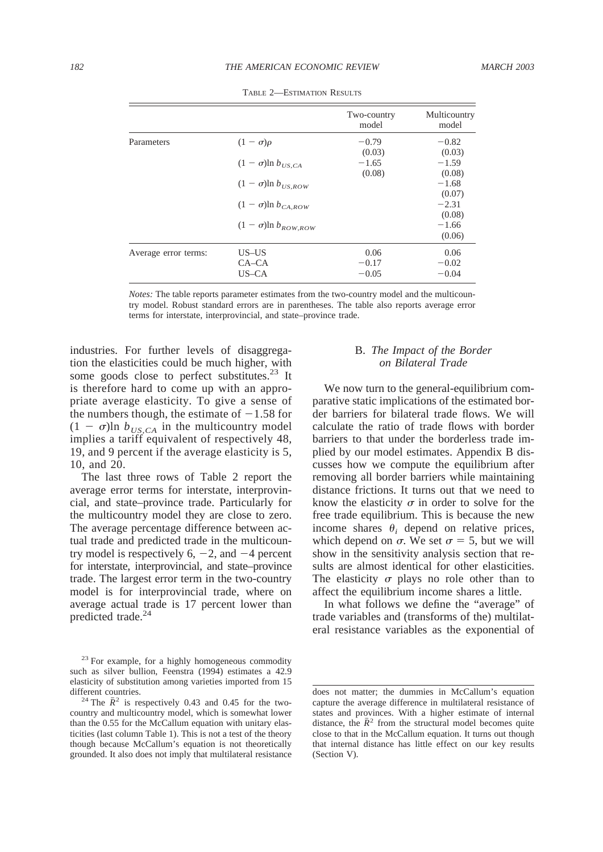|                      |                                                                                                                                                             | Two-country<br>model                   | Multicountry<br>model                                                                                 |
|----------------------|-------------------------------------------------------------------------------------------------------------------------------------------------------------|----------------------------------------|-------------------------------------------------------------------------------------------------------|
| Parameters           | $(1 - \sigma)\rho$<br>$(1 - \sigma)$ ln $b_{US,CA}$<br>$(1 - \sigma)$ ln $b_{US,ROW}$<br>$(1 - \sigma)$ ln $b_{CA,ROW}$<br>$(1 - \sigma)$ ln $b_{ROW, Row}$ | $-0.79$<br>(0.03)<br>$-1.65$<br>(0.08) | $-0.82$<br>(0.03)<br>$-1.59$<br>(0.08)<br>$-1.68$<br>(0.07)<br>$-2.31$<br>(0.08)<br>$-1.66$<br>(0.06) |
| Average error terms: | $US$ –US<br>$CA$ -CA<br>US-CA                                                                                                                               | 0.06<br>$-0.17$<br>$-0.05$             | 0.06<br>$-0.02$<br>$-0.04$                                                                            |

TABLE 2—ESTIMATION RESULTS

*Notes:* The table reports parameter estimates from the two-country model and the multicountry model. Robust standard errors are in parentheses. The table also reports average error terms for interstate, interprovincial, and state–province trade.

industries. For further levels of disaggregation the elasticities could be much higher, with some goods close to perfect substitutes.<sup>23</sup> It is therefore hard to come up with an appropriate average elasticity. To give a sense of the numbers though, the estimate of  $-1.58$  for  $(1 - \sigma)$ ln  $b_{US,CA}$  in the multicountry model implies a tariff equivalent of respectively 48, 19, and 9 percent if the average elasticity is 5, 10, and 20.

The last three rows of Table 2 report the average error terms for interstate, interprovincial, and state–province trade. Particularly for the multicountry model they are close to zero. The average percentage difference between actual trade and predicted trade in the multicountry model is respectively  $6, -2$ , and  $-4$  percent for interstate, interprovincial, and state–province trade. The largest error term in the two-country model is for interprovincial trade, where on average actual trade is 17 percent lower than predicted trade.<sup>24</sup>

# B. *The Impact of the Border on Bilateral Trade*

We now turn to the general-equilibrium comparative static implications of the estimated border barriers for bilateral trade flows. We will calculate the ratio of trade flows with border barriers to that under the borderless trade implied by our model estimates. Appendix B discusses how we compute the equilibrium after removing all border barriers while maintaining distance frictions. It turns out that we need to know the elasticity  $\sigma$  in order to solve for the free trade equilibrium. This is because the new income shares  $\theta_i$  depend on relative prices, which depend on  $\sigma$ . We set  $\sigma = 5$ , but we will show in the sensitivity analysis section that results are almost identical for other elasticities. The elasticity  $\sigma$  plays no role other than to affect the equilibrium income shares a little.

In what follows we define the "average" of trade variables and (transforms of the) multilateral resistance variables as the exponential of

 $23$  For example, for a highly homogeneous commodity such as silver bullion, Feenstra (1994) estimates a 42.9 elasticity of substitution among varieties imported from 15 different countries.<br><sup>24</sup> The  $\overline{R}^2$  is respectively 0.43 and 0.45 for the two-

country and multicountry model, which is somewhat lower than the 0.55 for the McCallum equation with unitary elasticities (last column Table 1). This is not a test of the theory though because McCallum's equation is not theoretically grounded. It also does not imply that multilateral resistance

does not matter; the dummies in McCallum's equation capture the average difference in multilateral resistance of states and provinces. With a higher estimate of internal distance, the  $\bar{R}^2$  from the structural model becomes quite close to that in the McCallum equation. It turns out though that internal distance has little effect on our key results (Section V).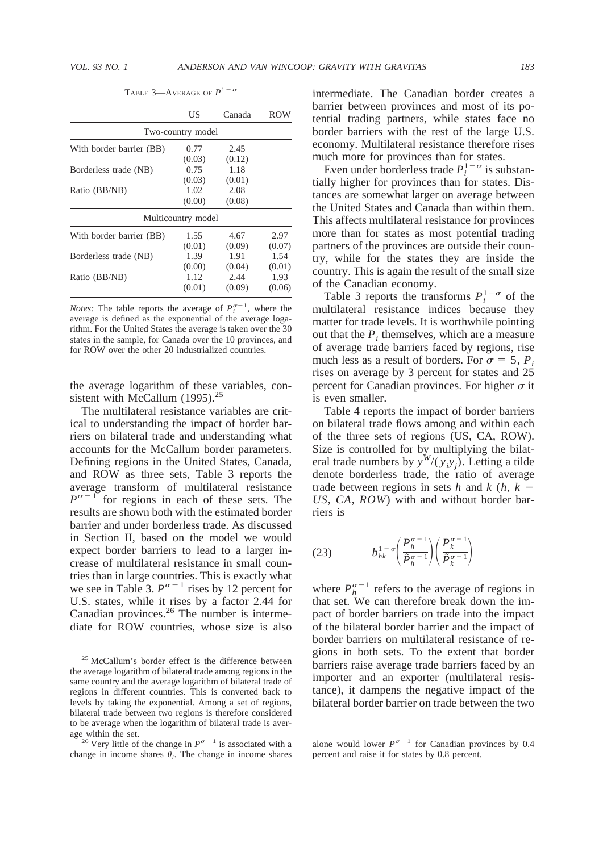TABLE 3—AVERAGE OF  $P^{1-\sigma}$ 

|                          | US                 | Canada | ROW    |
|--------------------------|--------------------|--------|--------|
|                          | Two-country model  |        |        |
| With border barrier (BB) | 0.77               | 2.45   |        |
|                          | (0.03)             | (0.12) |        |
| Borderless trade (NB)    | 0.75               | 1.18   |        |
|                          | (0.03)             | (0.01) |        |
| Ratio (BB/NB)            | 1.02               | 2.08   |        |
|                          | (0.00)             | (0.08) |        |
|                          | Multicountry model |        |        |
| With border barrier (BB) | 1.55               | 4.67   | 2.97   |
|                          | (0.01)             | (0.09) | (0.07) |
| Borderless trade (NB)    | 1.39               | 1.91   | 1.54   |
|                          | (0.00)             | (0.04) | (0.01) |
| Ratio (BB/NB)            | 1.12               | 2.44   | 1.93   |
|                          | (0.01)             | (0.09) | (0.06) |

*Notes:* The table reports the average of  $P_i^{\sigma-1}$ , where the average is defined as the exponential of the average logarithm. For the United States the average is taken over the 30 states in the sample, for Canada over the 10 provinces, and for ROW over the other 20 industrialized countries.

the average logarithm of these variables, consistent with McCallum  $(1995)$ .<sup>25</sup>

The multilateral resistance variables are critical to understanding the impact of border barriers on bilateral trade and understanding what accounts for the McCallum border parameters. Defining regions in the United States, Canada, and ROW as three sets, Table 3 reports the average transform of multilateral resistance  $P^{\sigma-1}$  for regions in each of these sets. The results are shown both with the estimated border barrier and under borderless trade. As discussed in Section II, based on the model we would expect border barriers to lead to a larger increase of multilateral resistance in small countries than in large countries. This is exactly what we see in Table 3.  $P^{\sigma-1}$  rises by 12 percent for U.S. states, while it rises by a factor 2.44 for Canadian provinces.<sup>26</sup> The number is intermediate for ROW countries, whose size is also

<sup>25</sup> McCallum's border effect is the difference between the average logarithm of bilateral trade among regions in the same country and the average logarithm of bilateral trade of regions in different countries. This is converted back to levels by taking the exponential. Among a set of regions, bilateral trade between two regions is therefore considered to be average when the logarithm of bilateral trade is aver-

age within the set.<br><sup>26</sup> Very little of the change in  $P^{\sigma-1}$  is associated with a change in income shares  $\theta_i$ . The change in income shares intermediate. The Canadian border creates a barrier between provinces and most of its potential trading partners, while states face no border barriers with the rest of the large U.S. economy. Multilateral resistance therefore rises much more for provinces than for states.

Even under borderless trade  $P_i^{1-\sigma}$  is substantially higher for provinces than for states. Distances are somewhat larger on average between the United States and Canada than within them. This affects multilateral resistance for provinces more than for states as most potential trading partners of the provinces are outside their country, while for the states they are inside the country. This is again the result of the small size of the Canadian economy.

Table 3 reports the transforms  $P_i^{1-\sigma}$  of the multilateral resistance indices because they matter for trade levels. It is worthwhile pointing out that the  $P_i$  themselves, which are a measure of average trade barriers faced by regions, rise much less as a result of borders. For  $\sigma = 5$ ,  $P_i$ rises on average by 3 percent for states and 25 percent for Canadian provinces. For higher  $\sigma$  it is even smaller.

Table 4 reports the impact of border barriers on bilateral trade flows among and within each of the three sets of regions (US, CA, ROW). Size is controlled for by multiplying the bilateral trade numbers by  $y^{W}/(y_i y_j)$ . Letting a tilde denote borderless trade, the ratio of average trade between regions in sets *h* and *k* (*h*,  $k =$ *US*, *CA*, *ROW*) with and without border barriers is

$$
(23) \t b_{hk}^{1-\sigma} \left( \frac{P_h^{\sigma-1}}{\tilde{P}_h^{\sigma-1}} \right) \left( \frac{P_\kappa^{\sigma-1}}{\tilde{P}_k^{\sigma-1}} \right)
$$

where  $P_h^{\sigma-1}$  refers to the average of regions in that set. We can therefore break down the impact of border barriers on trade into the impact of the bilateral border barrier and the impact of border barriers on multilateral resistance of regions in both sets. To the extent that border barriers raise average trade barriers faced by an importer and an exporter (multilateral resistance), it dampens the negative impact of the bilateral border barrier on trade between the two

alone would lower  $P^{\sigma-1}$  for Canadian provinces by 0.4 percent and raise it for states by 0.8 percent.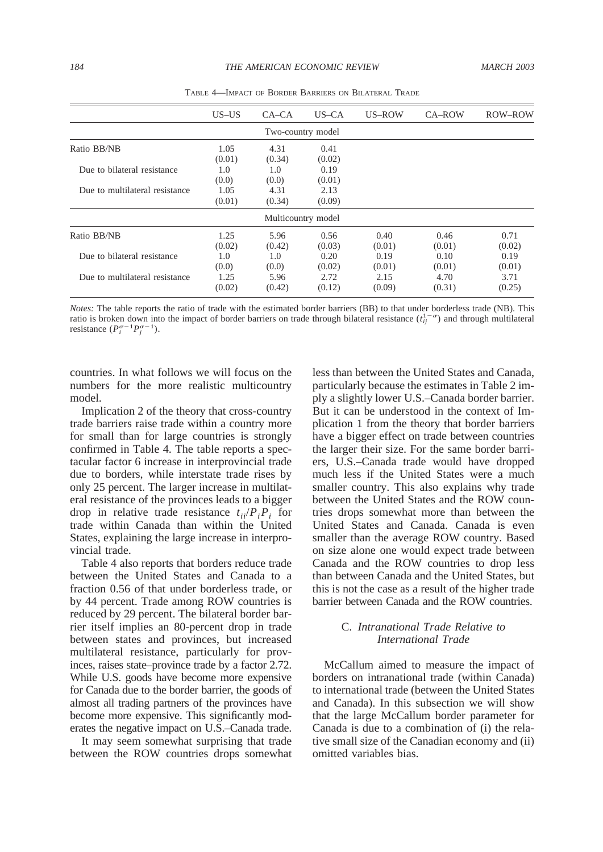|                                | $US$ –US | $CA$ -CA      | US-CA              | US-ROW | CA-ROW | ROW-ROW |
|--------------------------------|----------|---------------|--------------------|--------|--------|---------|
|                                |          |               | Two-country model  |        |        |         |
| Ratio BB/NB                    | 1.05     | 4.31          | 0.41               |        |        |         |
|                                | (0.01)   | (0.34)        | (0.02)             |        |        |         |
| Due to bilateral resistance    | 1.0      | $1.0^{\circ}$ | 0.19               |        |        |         |
|                                | (0.0)    | (0.0)         | (0.01)             |        |        |         |
| Due to multilateral resistance | 1.05     | 4.31          | 2.13               |        |        |         |
|                                | (0.01)   | (0.34)        | (0.09)             |        |        |         |
|                                |          |               | Multicountry model |        |        |         |
| Ratio BB/NB                    | 1.25     | 5.96          | 0.56               | 0.40   | 0.46   | 0.71    |
|                                | (0.02)   | (0.42)        | (0.03)             | (0.01) | (0.01) | (0.02)  |
| Due to bilateral resistance    | 1.0      | 1.0           | 0.20               | 0.19   | 0.10   | 0.19    |
|                                | (0.0)    | (0.0)         | (0.02)             | (0.01) | (0.01) | (0.01)  |
| Due to multilateral resistance | 1.25     | 5.96          | 2.72               | 2.15   | 4.70   | 3.71    |
|                                | (0.02)   | (0.42)        | (0.12)             | (0.09) | (0.31) | (0.25)  |

TABLE 4—IMPACT OF BORDER BARRIERS ON BILATERAL TRADE

*Notes:* The table reports the ratio of trade with the estimated border barriers (BB) to that under borderless trade (NB). This ratio is broken down into the impact of border barriers on trade through bilateral resistance  $(t_{ij}^{1-\sigma})$  and through multilateral resistance  $(P_i^{\sigma-1}P_j^{\sigma-1})$ .

countries. In what follows we will focus on the numbers for the more realistic multicountry model.

Implication 2 of the theory that cross-country trade barriers raise trade within a country more for small than for large countries is strongly confirmed in Table 4. The table reports a spectacular factor 6 increase in interprovincial trade due to borders, while interstate trade rises by only 25 percent. The larger increase in multilateral resistance of the provinces leads to a bigger drop in relative trade resistance  $t_{ii}/P_iP_j$  for trade within Canada than within the United States, explaining the large increase in interprovincial trade.

Table 4 also reports that borders reduce trade between the United States and Canada to a fraction 0.56 of that under borderless trade, or by 44 percent. Trade among ROW countries is reduced by 29 percent. The bilateral border barrier itself implies an 80-percent drop in trade between states and provinces, but increased multilateral resistance, particularly for provinces, raises state–province trade by a factor 2.72. While U.S. goods have become more expensive for Canada due to the border barrier, the goods of almost all trading partners of the provinces have become more expensive. This significantly moderates the negative impact on U.S.–Canada trade.

It may seem somewhat surprising that trade between the ROW countries drops somewhat less than between the United States and Canada, particularly because the estimates in Table 2 imply a slightly lower U.S.–Canada border barrier. But it can be understood in the context of Implication 1 from the theory that border barriers have a bigger effect on trade between countries the larger their size. For the same border barriers, U.S.–Canada trade would have dropped much less if the United States were a much smaller country. This also explains why trade between the United States and the ROW countries drops somewhat more than between the United States and Canada. Canada is even smaller than the average ROW country. Based on size alone one would expect trade between Canada and the ROW countries to drop less than between Canada and the United States, but this is not the case as a result of the higher trade barrier between Canada and the ROW countries.

# C. *Intranational Trade Relative to International Trade*

McCallum aimed to measure the impact of borders on intranational trade (within Canada) to international trade (between the United States and Canada). In this subsection we will show that the large McCallum border parameter for Canada is due to a combination of (i) the relative small size of the Canadian economy and (ii) omitted variables bias.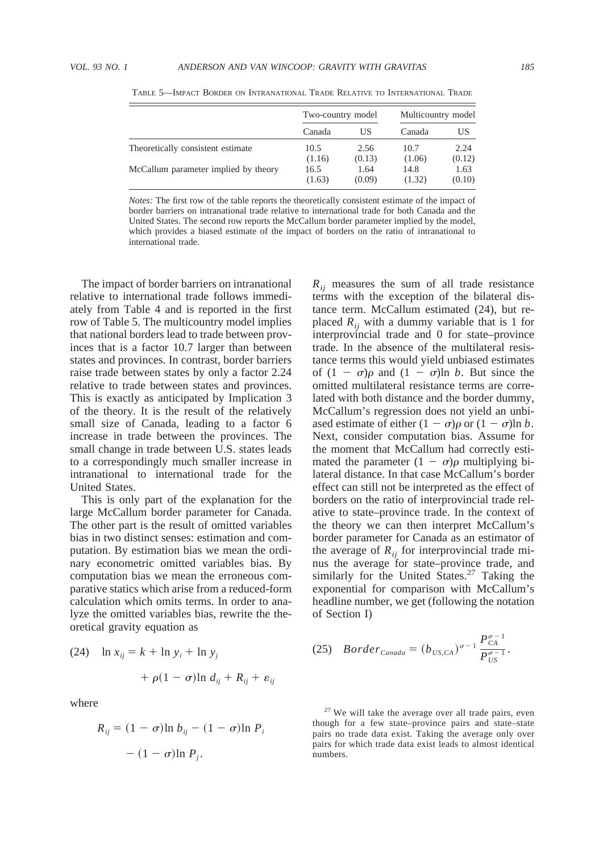|                                      | Two-country model |        | Multicountry model |        |  |
|--------------------------------------|-------------------|--------|--------------------|--------|--|
|                                      | Canada            | US     | Canada             | US     |  |
| Theoretically consistent estimate    | 10.5              | 2.56   | 10.7               | 2.24   |  |
|                                      | (1.16)            | (0.13) | (1.06)             | (0.12) |  |
| McCallum parameter implied by theory | 16.5              | 1.64   | 14.8               | 1.63   |  |
|                                      | (1.63)            | (0.09) | (1.32)             | (0.10) |  |

TABLE 5—IMPACT BORDER ON INTRANATIONAL TRADE RELATIVE TO INTERNATIONAL TRADE

*Notes:* The first row of the table reports the theoretically consistent estimate of the impact of border barriers on intranational trade relative to international trade for both Canada and the United States. The second row reports the McCallum border parameter implied by the model, which provides a biased estimate of the impact of borders on the ratio of intranational to international trade.

The impact of border barriers on intranational relative to international trade follows immediately from Table 4 and is reported in the first row of Table 5. The multicountry model implies that national borders lead to trade between provinces that is a factor 10.7 larger than between states and provinces. In contrast, border barriers raise trade between states by only a factor 2.24 relative to trade between states and provinces. This is exactly as anticipated by Implication 3 of the theory. It is the result of the relatively small size of Canada, leading to a factor 6 increase in trade between the provinces. The small change in trade between U.S. states leads to a correspondingly much smaller increase in intranational to international trade for the United States.

This is only part of the explanation for the large McCallum border parameter for Canada. The other part is the result of omitted variables bias in two distinct senses: estimation and computation. By estimation bias we mean the ordinary econometric omitted variables bias. By computation bias we mean the erroneous comparative statics which arise from a reduced-form calculation which omits terms. In order to analyze the omitted variables bias, rewrite the theoretical gravity equation as

(24) 
$$
\ln x_{ij} = k + \ln y_i + \ln y_j
$$
  
+  $\rho(1 - \sigma)\ln d_{ij} + R_{ij} + \varepsilon_{ij}$ 

where

$$
R_{ij} = (1 - \sigma) \ln b_{ij} - (1 - \sigma) \ln P_i
$$

$$
- (1 - \sigma) \ln P_j.
$$

*Rij* measures the sum of all trade resistance terms with the exception of the bilateral distance term. McCallum estimated (24), but replaced  $R_{ij}$  with a dummy variable that is 1 for interprovincial trade and 0 for state–province trade. In the absence of the multilateral resistance terms this would yield unbiased estimates of  $(1 - \sigma)\rho$  and  $(1 - \sigma)\ln b$ . But since the omitted multilateral resistance terms are correlated with both distance and the border dummy, McCallum's regression does not yield an unbiased estimate of either  $(1 - \sigma)\rho$  or  $(1 - \sigma)\ln b$ . Next, consider computation bias. Assume for the moment that McCallum had correctly estimated the parameter  $(1 - \sigma)\rho$  multiplying bilateral distance. In that case McCallum's border effect can still not be interpreted as the effect of borders on the ratio of interprovincial trade relative to state–province trade. In the context of the theory we can then interpret McCallum's border parameter for Canada as an estimator of the average of  $R_{ij}$  for interprovincial trade minus the average for state–province trade, and similarly for the United States.<sup>27</sup> Taking the exponential for comparison with McCallum's headline number, we get (following the notation of Section I)

(25) 
$$
Border_{Canada} = (b_{US,CA})^{\sigma-1} \frac{P_{CA}^{\sigma-1}}{P_{US}^{\sigma-1}}
$$
.

 $27$  We will take the average over all trade pairs, even though for a few state–province pairs and state–state pairs no trade data exist. Taking the average only over pairs for which trade data exist leads to almost identical numbers.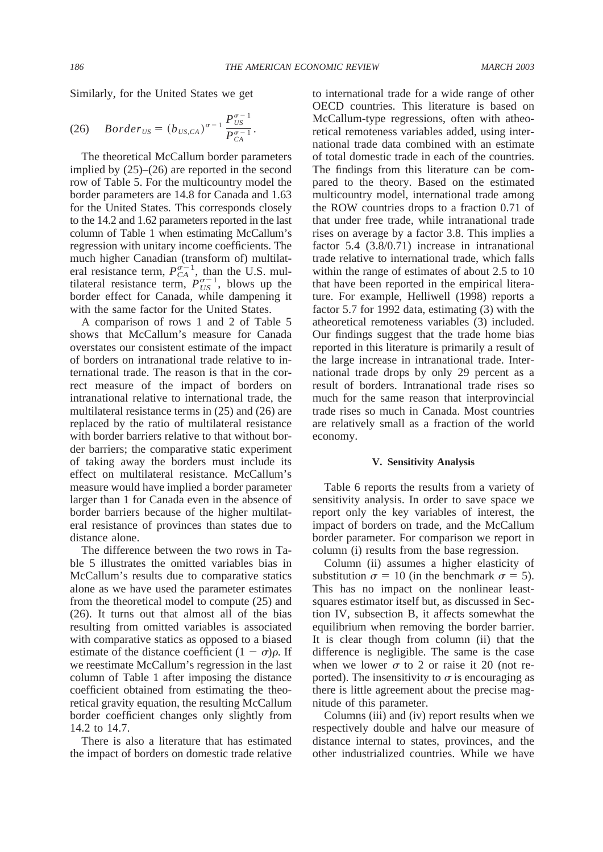Similarly, for the United States we get

(26) 
$$
Border_{US} = (b_{US,CA})^{\sigma-1} \frac{P_{US}^{\sigma-1}}{P_{CA}^{\sigma-1}}.
$$

The theoretical McCallum border parameters implied by (25)–(26) are reported in the second row of Table 5. For the multicountry model the border parameters are 14.8 for Canada and 1.63 for the United States. This corresponds closely to the 14.2 and 1.62 parameters reported in the last column of Table 1 when estimating McCallum's regression with unitary income coefficients. The much higher Canadian (transform of) multilateral resistance term,  $P_{CA}^{\sigma-1}$ , than the U.S. multilateral resistance term,  $P_{US}^{\sigma-1}$ , blows up the border effect for Canada, while dampening it with the same factor for the United States.

A comparison of rows 1 and 2 of Table 5 shows that McCallum's measure for Canada overstates our consistent estimate of the impact of borders on intranational trade relative to international trade. The reason is that in the correct measure of the impact of borders on intranational relative to international trade, the multilateral resistance terms in (25) and (26) are replaced by the ratio of multilateral resistance with border barriers relative to that without border barriers; the comparative static experiment of taking away the borders must include its effect on multilateral resistance. McCallum's measure would have implied a border parameter larger than 1 for Canada even in the absence of border barriers because of the higher multilateral resistance of provinces than states due to distance alone.

The difference between the two rows in Table 5 illustrates the omitted variables bias in McCallum's results due to comparative statics alone as we have used the parameter estimates from the theoretical model to compute (25) and (26). It turns out that almost all of the bias resulting from omitted variables is associated with comparative statics as opposed to a biased estimate of the distance coefficient  $(1 - \sigma)\rho$ . If we reestimate McCallum's regression in the last column of Table 1 after imposing the distance coefficient obtained from estimating the theoretical gravity equation, the resulting McCallum border coefficient changes only slightly from 14.2 to 14.7.

There is also a literature that has estimated the impact of borders on domestic trade relative to international trade for a wide range of other OECD countries. This literature is based on McCallum-type regressions, often with atheoretical remoteness variables added, using international trade data combined with an estimate of total domestic trade in each of the countries. The findings from this literature can be compared to the theory. Based on the estimated multicountry model, international trade among the ROW countries drops to a fraction 0.71 of that under free trade, while intranational trade rises on average by a factor 3.8. This implies a factor 5.4 (3.8/0.71) increase in intranational trade relative to international trade, which falls within the range of estimates of about 2.5 to 10 that have been reported in the empirical literature. For example, Helliwell (1998) reports a factor 5.7 for 1992 data, estimating (3) with the atheoretical remoteness variables (3) included. Our findings suggest that the trade home bias reported in this literature is primarily a result of the large increase in intranational trade. International trade drops by only 29 percent as a result of borders. Intranational trade rises so much for the same reason that interprovincial trade rises so much in Canada. Most countries are relatively small as a fraction of the world economy.

### **V. Sensitivity Analysis**

Table 6 reports the results from a variety of sensitivity analysis. In order to save space we report only the key variables of interest, the impact of borders on trade, and the McCallum border parameter. For comparison we report in column (i) results from the base regression.

Column (ii) assumes a higher elasticity of substitution  $\sigma = 10$  (in the benchmark  $\sigma = 5$ ). This has no impact on the nonlinear leastsquares estimator itself but, as discussed in Section IV, subsection B, it affects somewhat the equilibrium when removing the border barrier. It is clear though from column (ii) that the difference is negligible. The same is the case when we lower  $\sigma$  to 2 or raise it 20 (not reported). The insensitivity to  $\sigma$  is encouraging as there is little agreement about the precise magnitude of this parameter.

Columns (iii) and (iv) report results when we respectively double and halve our measure of distance internal to states, provinces, and the other industrialized countries. While we have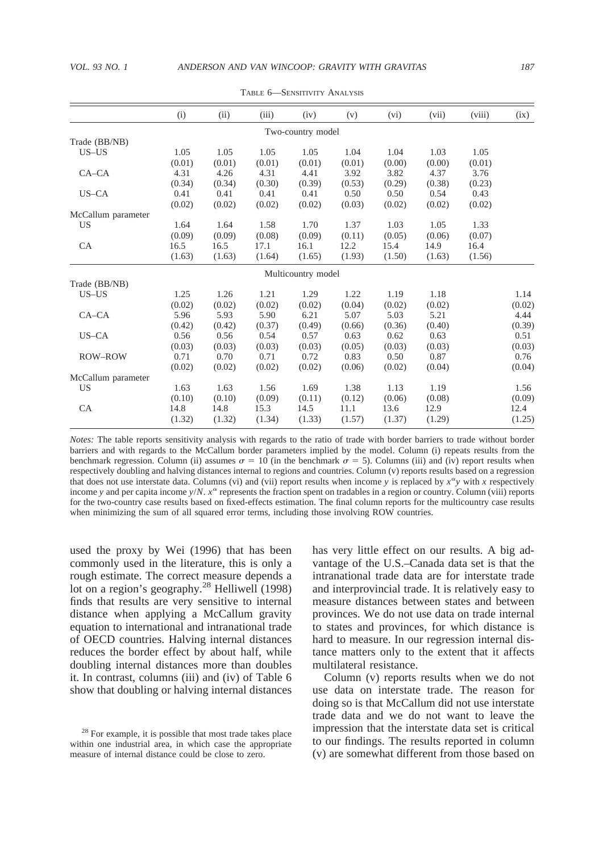|                    | (i)    | (ii)   | (iii)  | (iv)               | (v)    | $(v_i)$ | (vii)  | (viii) | (ix)   |
|--------------------|--------|--------|--------|--------------------|--------|---------|--------|--------|--------|
|                    |        |        |        | Two-country model  |        |         |        |        |        |
| Trade (BB/NB)      |        |        |        |                    |        |         |        |        |        |
| $US$ -US           | 1.05   | 1.05   | 1.05   | 1.05               | 1.04   | 1.04    | 1.03   | 1.05   |        |
|                    | (0.01) | (0.01) | (0.01) | (0.01)             | (0.01) | (0.00)  | (0.00) | (0.01) |        |
| $CA$ -CA           | 4.31   | 4.26   | 4.31   | 4.41               | 3.92   | 3.82    | 4.37   | 3.76   |        |
|                    | (0.34) | (0.34) | (0.30) | (0.39)             | (0.53) | (0.29)  | (0.38) | (0.23) |        |
| US-CA              | 0.41   | 0.41   | 0.41   | 0.41               | 0.50   | 0.50    | 0.54   | 0.43   |        |
|                    | (0.02) | (0.02) | (0.02) | (0.02)             | (0.03) | (0.02)  | (0.02) | (0.02) |        |
| McCallum parameter |        |        |        |                    |        |         |        |        |        |
| <b>US</b>          | 1.64   | 1.64   | 1.58   | 1.70               | 1.37   | 1.03    | 1.05   | 1.33   |        |
|                    | (0.09) | (0.09) | (0.08) | (0.09)             | (0.11) | (0.05)  | (0.06) | (0.07) |        |
| CA                 | 16.5   | 16.5   | 17.1   | 16.1               | 12.2   | 15.4    | 14.9   | 16.4   |        |
|                    | (1.63) | (1.63) | (1.64) | (1.65)             | (1.93) | (1.50)  | (1.63) | (1.56) |        |
|                    |        |        |        | Multicountry model |        |         |        |        |        |
| Trade (BB/NB)      |        |        |        |                    |        |         |        |        |        |
| $US$ -US           | 1.25   | 1.26   | 1.21   | 1.29               | 1.22   | 1.19    | 1.18   |        | 1.14   |
|                    | (0.02) | (0.02) | (0.02) | (0.02)             | (0.04) | (0.02)  | (0.02) |        | (0.02) |
| $CA$ -CA           | 5.96   | 5.93   | 5.90   | 6.21               | 5.07   | 5.03    | 5.21   |        | 4.44   |
|                    | (0.42) | (0.42) | (0.37) | (0.49)             | (0.66) | (0.36)  | (0.40) |        | (0.39) |
| US-CA              | 0.56   | 0.56   | 0.54   | 0.57               | 0.63   | 0.62    | 0.63   |        | 0.51   |
|                    | (0.03) | (0.03) | (0.03) | (0.03)             | (0.05) | (0.03)  | (0.03) |        | (0.03) |
| ROW-ROW            | 0.71   | 0.70   | 0.71   | 0.72               | 0.83   | 0.50    | 0.87   |        | 0.76   |
|                    | (0.02) | (0.02) | (0.02) | (0.02)             | (0.06) | (0.02)  | (0.04) |        | (0.04) |
| McCallum parameter |        |        |        |                    |        |         |        |        |        |
| <b>US</b>          | 1.63   | 1.63   | 1.56   | 1.69               | 1.38   | 1.13    | 1.19   |        | 1.56   |
|                    | (0.10) | (0.10) | (0.09) | (0.11)             | (0.12) | (0.06)  | (0.08) |        | (0.09) |
| CA                 | 14.8   | 14.8   | 15.3   | 14.5               | 11.1   | 13.6    | 12.9   |        | 12.4   |
|                    | (1.32) | (1.32) | (1.34) | (1.33)             | (1.57) | (1.37)  | (1.29) |        | (1.25) |

TABLE 6—SENSITIVITY ANALYSIS

*Notes:* The table reports sensitivity analysis with regards to the ratio of trade with border barriers to trade without border barriers and with regards to the McCallum border parameters implied by the model. Column (i) repeats results from the benchmark regression. Column (ii) assumes  $\sigma = 10$  (in the benchmark  $\sigma = 5$ ). Columns (iii) and (iv) report results when respectively doubling and halving distances internal to regions and countries. Column (v) reports results based on a regression that does not use interstate data. Columns (vi) and (vii) report results when income *y* is replaced by  $x^{\alpha}y$  with *x* respectively income *y* and per capita income  $y/N$ .  $x^{\alpha}$  represents the fraction spent on tradables in a region or country. Column (viii) reports for the two-country case results based on fixed-effects estimation. The final column reports for the multicountry case results when minimizing the sum of all squared error terms, including those involving ROW countries.

used the proxy by Wei (1996) that has been commonly used in the literature, this is only a rough estimate. The correct measure depends a lot on a region's geography.<sup>28</sup> Helliwell (1998) finds that results are very sensitive to internal distance when applying a McCallum gravity equation to international and intranational trade of OECD countries. Halving internal distances reduces the border effect by about half, while doubling internal distances more than doubles it. In contrast, columns (iii) and (iv) of Table 6 show that doubling or halving internal distances

has very little effect on our results. A big advantage of the U.S.–Canada data set is that the intranational trade data are for interstate trade and interprovincial trade. It is relatively easy to measure distances between states and between provinces. We do not use data on trade internal to states and provinces, for which distance is hard to measure. In our regression internal distance matters only to the extent that it affects multilateral resistance.

Column (v) reports results when we do not use data on interstate trade. The reason for doing so is that McCallum did not use interstate trade data and we do not want to leave the impression that the interstate data set is critical to our findings. The results reported in column (v) are somewhat different from those based on

<sup>&</sup>lt;sup>28</sup> For example, it is possible that most trade takes place within one industrial area, in which case the appropriate measure of internal distance could be close to zero.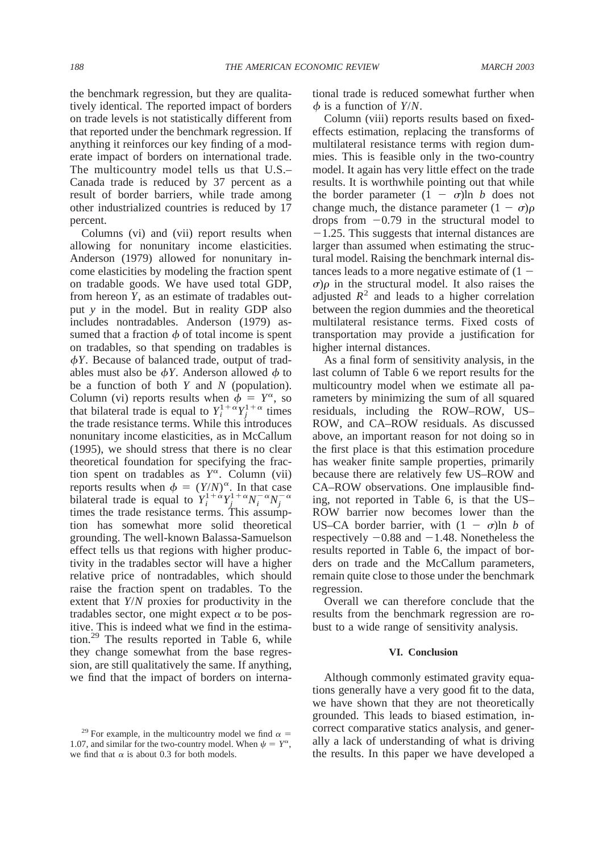the benchmark regression, but they are qualitatively identical. The reported impact of borders on trade levels is not statistically different from that reported under the benchmark regression. If anything it reinforces our key finding of a moderate impact of borders on international trade. The multicountry model tells us that U.S.– Canada trade is reduced by 37 percent as a result of border barriers, while trade among other industrialized countries is reduced by 17 percent.

Columns (vi) and (vii) report results when allowing for nonunitary income elasticities. Anderson (1979) allowed for nonunitary income elasticities by modeling the fraction spent on tradable goods. We have used total GDP, from hereon *Y*, as an estimate of tradables output *y* in the model. But in reality GDP also includes nontradables. Anderson (1979) assumed that a fraction  $\phi$  of total income is spent on tradables, so that spending on tradables is *Y*. Because of balanced trade, output of tradables must also be  $\phi Y$ . Anderson allowed  $\phi$  to be a function of both *Y* and *N* (population). Column (vi) reports results when  $\phi = Y^{\alpha}$ , so that bilateral trade is equal to  $Y_i^{1+\alpha} Y_j^{1+\alpha}$  times the trade resistance terms. While this introduces nonunitary income elasticities, as in McCallum (1995), we should stress that there is no clear theoretical foundation for specifying the fraction spent on tradables as  $Y^{\alpha}$ . Column (vii) reports results when  $\phi = (Y/N)^{\alpha}$ . In that case bilateral trade is equal to  $Y_i^{1+\alpha} Y_j^{1+\alpha} N_i^{-\alpha} N_j^{-\alpha}$ times the trade resistance terms. This assumption has somewhat more solid theoretical grounding. The well-known Balassa-Samuelson effect tells us that regions with higher productivity in the tradables sector will have a higher relative price of nontradables, which should raise the fraction spent on tradables. To the extent that *Y*/*N* proxies for productivity in the tradables sector, one might expect  $\alpha$  to be positive. This is indeed what we find in the estimation.29 The results reported in Table 6, while they change somewhat from the base regression, are still qualitatively the same. If anything, we find that the impact of borders on international trade is reduced somewhat further when  $\phi$  is a function of *Y*/*N*.

Column (viii) reports results based on fixedeffects estimation, replacing the transforms of multilateral resistance terms with region dummies. This is feasible only in the two-country model. It again has very little effect on the trade results. It is worthwhile pointing out that while the border parameter  $(1 - \sigma)$ ln *b* does not change much, the distance parameter  $(1 - \sigma)\rho$ drops from  $-0.79$  in the structural model to -1.25. This suggests that internal distances are larger than assumed when estimating the structural model. Raising the benchmark internal distances leads to a more negative estimate of  $(1 \sigma$ ) $\rho$  in the structural model. It also raises the adjusted  $R^2$  and leads to a higher correlation between the region dummies and the theoretical multilateral resistance terms. Fixed costs of transportation may provide a justification for higher internal distances.

As a final form of sensitivity analysis, in the last column of Table 6 we report results for the multicountry model when we estimate all parameters by minimizing the sum of all squared residuals, including the ROW–ROW, US– ROW, and CA–ROW residuals. As discussed above, an important reason for not doing so in the first place is that this estimation procedure has weaker finite sample properties, primarily because there are relatively few US–ROW and CA–ROW observations. One implausible finding, not reported in Table 6, is that the US– ROW barrier now becomes lower than the US–CA border barrier, with  $(1 - \sigma)$ ln *b* of respectively  $-0.88$  and  $-1.48$ . Nonetheless the results reported in Table 6, the impact of borders on trade and the McCallum parameters, remain quite close to those under the benchmark regression.

Overall we can therefore conclude that the results from the benchmark regression are robust to a wide range of sensitivity analysis.

#### **VI. Conclusion**

Although commonly estimated gravity equations generally have a very good fit to the data, we have shown that they are not theoretically grounded. This leads to biased estimation, incorrect comparative statics analysis, and generally a lack of understanding of what is driving the results. In this paper we have developed a

<sup>&</sup>lt;sup>29</sup> For example, in the multicountry model we find  $\alpha =$ 1.07, and similar for the two-country model. When  $\psi = Y^{\alpha}$ , we find that  $\alpha$  is about 0.3 for both models.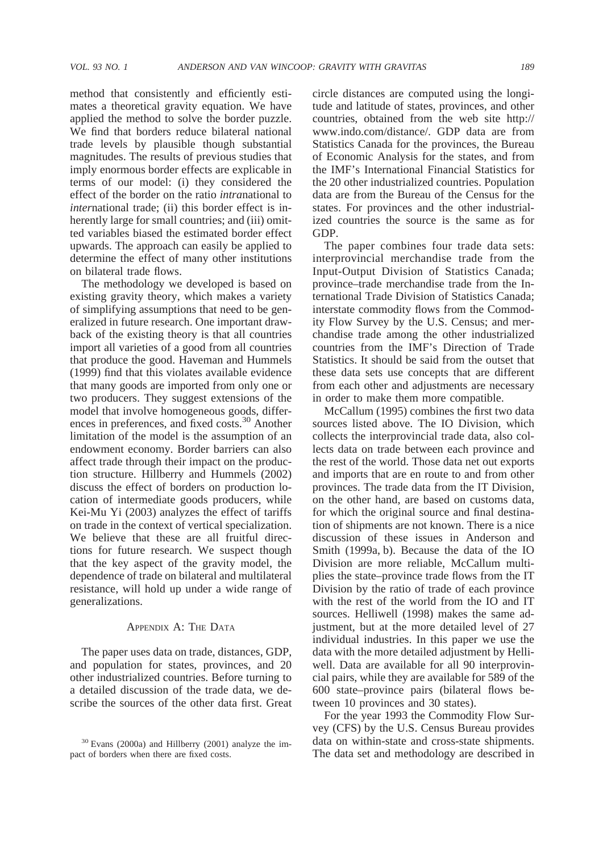method that consistently and efficiently estimates a theoretical gravity equation. We have applied the method to solve the border puzzle. We find that borders reduce bilateral national trade levels by plausible though substantial magnitudes. The results of previous studies that imply enormous border effects are explicable in terms of our model: (i) they considered the effect of the border on the ratio *intra*national to *international trade; (ii) this border effect is in*herently large for small countries; and (iii) omitted variables biased the estimated border effect upwards. The approach can easily be applied to determine the effect of many other institutions on bilateral trade flows.

The methodology we developed is based on existing gravity theory, which makes a variety of simplifying assumptions that need to be generalized in future research. One important drawback of the existing theory is that all countries import all varieties of a good from all countries that produce the good. Haveman and Hummels (1999) find that this violates available evidence that many goods are imported from only one or two producers. They suggest extensions of the model that involve homogeneous goods, differences in preferences, and fixed costs.30 Another limitation of the model is the assumption of an endowment economy. Border barriers can also affect trade through their impact on the production structure. Hillberry and Hummels (2002) discuss the effect of borders on production location of intermediate goods producers, while Kei-Mu Yi (2003) analyzes the effect of tariffs on trade in the context of vertical specialization. We believe that these are all fruitful directions for future research. We suspect though that the key aspect of the gravity model, the dependence of trade on bilateral and multilateral resistance, will hold up under a wide range of generalizations.

### APPENDIX A: THE DATA

The paper uses data on trade, distances, GDP, and population for states, provinces, and 20 other industrialized countries. Before turning to a detailed discussion of the trade data, we describe the sources of the other data first. Great circle distances are computed using the longitude and latitude of states, provinces, and other countries, obtained from the web site http:// www.indo.com/distance/. GDP data are from Statistics Canada for the provinces, the Bureau of Economic Analysis for the states, and from the IMF's International Financial Statistics for the 20 other industrialized countries. Population data are from the Bureau of the Census for the states. For provinces and the other industrialized countries the source is the same as for GDP.

The paper combines four trade data sets: interprovincial merchandise trade from the Input-Output Division of Statistics Canada; province–trade merchandise trade from the International Trade Division of Statistics Canada; interstate commodity flows from the Commodity Flow Survey by the U.S. Census; and merchandise trade among the other industrialized countries from the IMF's Direction of Trade Statistics. It should be said from the outset that these data sets use concepts that are different from each other and adjustments are necessary in order to make them more compatible.

McCallum (1995) combines the first two data sources listed above. The IO Division, which collects the interprovincial trade data, also collects data on trade between each province and the rest of the world. Those data net out exports and imports that are en route to and from other provinces. The trade data from the IT Division, on the other hand, are based on customs data, for which the original source and final destination of shipments are not known. There is a nice discussion of these issues in Anderson and Smith (1999a, b). Because the data of the IO Division are more reliable, McCallum multiplies the state–province trade flows from the IT Division by the ratio of trade of each province with the rest of the world from the IO and IT sources. Helliwell (1998) makes the same adjustment, but at the more detailed level of 27 individual industries. In this paper we use the data with the more detailed adjustment by Helliwell. Data are available for all 90 interprovincial pairs, while they are available for 589 of the 600 state–province pairs (bilateral flows between 10 provinces and 30 states).

For the year 1993 the Commodity Flow Survey (CFS) by the U.S. Census Bureau provides data on within-state and cross-state shipments. The data set and methodology are described in

 $30$  Evans (2000a) and Hillberry (2001) analyze the impact of borders when there are fixed costs.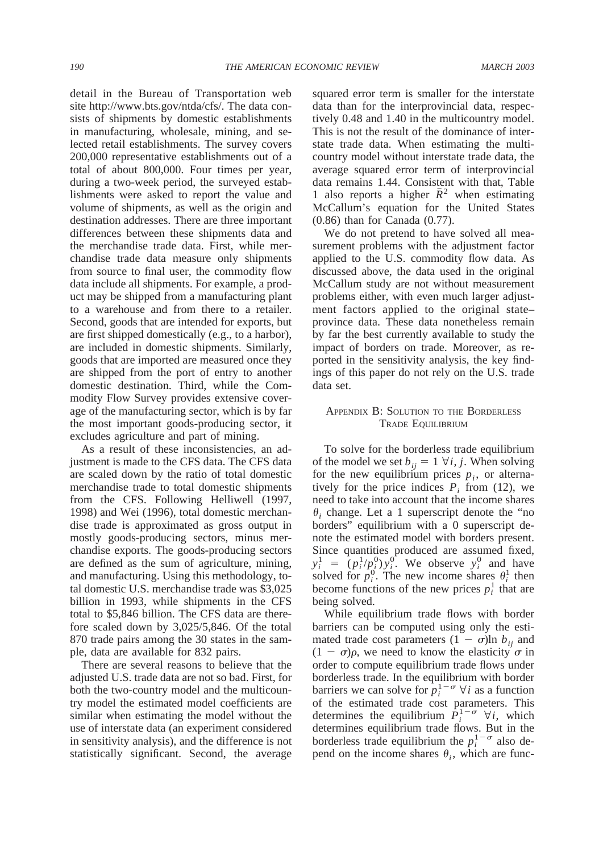detail in the Bureau of Transportation web site http://www.bts.gov/ntda/cfs/. The data consists of shipments by domestic establishments in manufacturing, wholesale, mining, and selected retail establishments. The survey covers 200,000 representative establishments out of a total of about 800,000. Four times per year, during a two-week period, the surveyed establishments were asked to report the value and volume of shipments, as well as the origin and destination addresses. There are three important differences between these shipments data and the merchandise trade data. First, while merchandise trade data measure only shipments from source to final user, the commodity flow data include all shipments. For example, a product may be shipped from a manufacturing plant to a warehouse and from there to a retailer. Second, goods that are intended for exports, but are first shipped domestically (e.g., to a harbor), are included in domestic shipments. Similarly, goods that are imported are measured once they are shipped from the port of entry to another domestic destination. Third, while the Commodity Flow Survey provides extensive coverage of the manufacturing sector, which is by far the most important goods-producing sector, it excludes agriculture and part of mining.

As a result of these inconsistencies, an adjustment is made to the CFS data. The CFS data are scaled down by the ratio of total domestic merchandise trade to total domestic shipments from the CFS. Following Helliwell (1997, 1998) and Wei (1996), total domestic merchandise trade is approximated as gross output in mostly goods-producing sectors, minus merchandise exports. The goods-producing sectors are defined as the sum of agriculture, mining, and manufacturing. Using this methodology, total domestic U.S. merchandise trade was \$3,025 billion in 1993, while shipments in the CFS total to \$5,846 billion. The CFS data are therefore scaled down by 3,025/5,846. Of the total 870 trade pairs among the 30 states in the sample, data are available for 832 pairs.

There are several reasons to believe that the adjusted U.S. trade data are not so bad. First, for both the two-country model and the multicountry model the estimated model coefficients are similar when estimating the model without the use of interstate data (an experiment considered in sensitivity analysis), and the difference is not statistically significant. Second, the average

squared error term is smaller for the interstate data than for the interprovincial data, respectively 0.48 and 1.40 in the multicountry model. This is not the result of the dominance of interstate trade data. When estimating the multicountry model without interstate trade data, the average squared error term of interprovincial data remains 1.44. Consistent with that, Table 1 also reports a higher  $\bar{R}^2$  when estimating McCallum's equation for the United States (0.86) than for Canada (0.77).

We do not pretend to have solved all measurement problems with the adjustment factor applied to the U.S. commodity flow data. As discussed above, the data used in the original McCallum study are not without measurement problems either, with even much larger adjustment factors applied to the original state– province data. These data nonetheless remain by far the best currently available to study the impact of borders on trade. Moreover, as reported in the sensitivity analysis, the key findings of this paper do not rely on the U.S. trade data set.

### APPENDIX B: SOLUTION TO THE BORDERLESS TRADE EQUILIBRIUM

To solve for the borderless trade equilibrium of the model we set  $b_{ii} = 1 \forall i, j$ . When solving for the new equilibrium prices  $p_i$ , or alternatively for the price indices  $P_i$  from (12), we need to take into account that the income shares  $\theta_i$  change. Let a 1 superscript denote the "no borders" equilibrium with a 0 superscript denote the estimated model with borders present. Since quantities produced are assumed fixed,  $y_i^1 = (p_i^1/p_i^0)y_i^0$ . We observe  $y_i^0$  and have solved for  $p_i^0$ . The new income shares  $\theta_i^1$  then become functions of the new prices  $p_i^1$  that are being solved.

While equilibrium trade flows with border barriers can be computed using only the estimated trade cost parameters  $(1 - \sigma)$ ln  $b_{ij}$  and  $(1 - \sigma)\rho$ , we need to know the elasticity  $\sigma$  in order to compute equilibrium trade flows under borderless trade. In the equilibrium with border barriers we can solve for  $p_i^{1-\sigma}$   $\forall i$  as a function of the estimated trade cost parameters. This determines the equilibrium  $\hat{P}_i^{1-\sigma}$   $\forall i$ , which determines equilibrium trade flows. But in the borderless trade equilibrium the  $p_i^{1-\sigma}$  also depend on the income shares  $\theta_i$ , which are func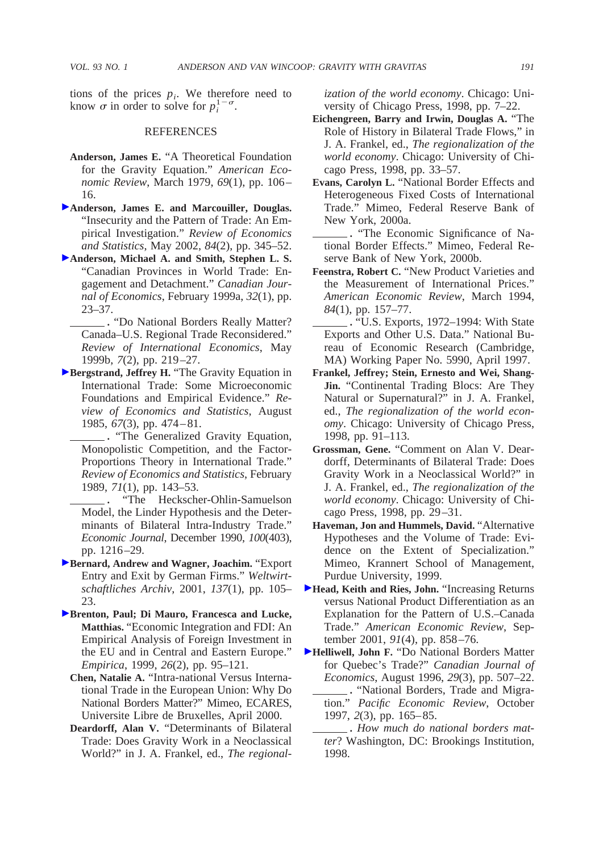tions of the prices  $p_i$ . We therefore need to know  $\sigma$  in order to solve for  $p_i^{1-\sigma}$ .

# **REFERENCES**

- **Anderson, James E.** "A Theoretical Foundation for the Gravity Equation." *American Economic Review*, March 1979, *69*(1), pp. 106– 16.
- **[A](http://pubs.aeaweb.org/action/showLinks?crossref=10.1162%2F003465302317411587&citationId=p_2)nderson, James E. and Marcouiller, Douglas.** "Insecurity and the Pattern of Trade: An Empirical Investigation." *Review of Economics and Statistics*, May 2002, *84*(2), pp. 345–52.
- **[A](http://pubs.aeaweb.org/action/showLinks?crossref=10.2307%2F136393&citationId=p_3)nderson, Michael A. and Smith, Stephen L. S.** "Canadian Provinces in World Trade: Engagement and Detachment." *Canadian Journal of Economics*, February 1999a, *32*(1), pp. 23–37.
	- **.** "Do National Borders Really Matter? Canada–U.S. Regional Trade Reconsidered." *Review of International Economics*, May 1999b, *7*(2), pp. 219–27.
- **[B](http://pubs.aeaweb.org/action/showLinks?crossref=10.2307%2F1925976&citationId=p_7)ergstrand, Jeffrey H.** "The Gravity Equation in International Trade: Some Microeconomic Foundations and Empirical Evidence." *Review of Economics and Statistics*, August 1985, *67*(3), pp. 474–81.
	- **.** "The Generalized Gravity Equation, Monopolistic Competition, and the Factor-Proportions Theory in International Trade." *Review of Economics and Statistics*, February 1989, *71*(1), pp. 143–53.
	- **.** "The Heckscher-Ohlin-Samuelson Model, the Linder Hypothesis and the Determinants of Bilateral Intra-Industry Trade." *Economic Journal*, December 1990, *100*(403), pp. 1216–29.
- **[B](http://pubs.aeaweb.org/action/showLinks?crossref=10.1007%2FBF02707602&citationId=p_16)ernard, Andrew and Wagner, Joachim.** "Export Entry and Exit by German Firms." *Weltwirtschaftliches Archiv*, 2001, *137*(1), pp. 105– 23.
- **[B](http://pubs.aeaweb.org/action/showLinks?crossref=10.1023%2FA%3A1007006429600&citationId=p_17)renton, Paul; Di Mauro, Francesca and Lucke, Matthias.** "Economic Integration and FDI: An Empirical Analysis of Foreign Investment in the EU and in Central and Eastern Europe." *Empirica*, 1999, *26*(2), pp. 95–121.
	- **Chen, Natalie A.** "Intra-national Versus International Trade in the European Union: Why Do National Borders Matter?" Mimeo, ECARES, Universite Libre de Bruxelles, April 2000.
	- **Deardorff, Alan V.** "Determinants of Bilateral Trade: Does Gravity Work in a Neoclassical World?" in J. A. Frankel, ed., *The regional-*

*ization of the world economy*. Chicago: University of Chicago Press, 1998, pp. 7–22.

- **Eichengreen, Barry and Irwin, Douglas A.** "The Role of History in Bilateral Trade Flows," in J. A. Frankel, ed., *The regionalization of the world economy*. Chicago: University of Chicago Press, 1998, pp. 33–57.
- **Evans, Carolyn L.** "National Border Effects and Heterogeneous Fixed Costs of International Trade." Mimeo, Federal Reserve Bank of New York, 2000a.
- **.** "The Economic Significance of National Border Effects." Mimeo, Federal Reserve Bank of New York, 2000b.
- **Feenstra, Robert C.** "New Product Varieties and the Measurement of International Prices." *American Economic Review*, March 1994, *84*(1), pp. 157–77.
- **.** "U.S. Exports, 1972–1994: With State Exports and Other U.S. Data." National Bureau of Economic Research (Cambridge, MA) Working Paper No. 5990, April 1997.
- **Frankel, Jeffrey; Stein, Ernesto and Wei, Shang-Jin.** "Continental Trading Blocs: Are They Natural or Supernatural?" in J. A. Frankel, ed., *The regionalization of the world economy*. Chicago: University of Chicago Press, 1998, pp. 91–113.
- **Grossman, Gene.** "Comment on Alan V. Deardorff, Determinants of Bilateral Trade: Does Gravity Work in a Neoclassical World?" in J. A. Frankel, ed., *The regionalization of the world economy*. Chicago: University of Chicago Press, 1998, pp. 29–31.
- **Haveman, Jon and Hummels, David.** "Alternative Hypotheses and the Volume of Trade: Evidence on the Extent of Specialization." Mimeo, Krannert School of Management, Purdue University, 1999.
- **[H](http://pubs.aeaweb.org/action/showLinks?system=10.1257%2Faer.91.4.858&citationId=p_31)ead, Keith and Ries, John.** "Increasing Returns versus National Product Differentiation as an Explanation for the Pattern of U.S.–Canada Trade." *American Economic Review*, September 2001, *91*(4), pp. 858–76.
- **[H](http://pubs.aeaweb.org/action/showLinks?crossref=10.2307%2F136247&citationId=p_32)elliwell, John F.** "Do National Borders Matter for Quebec's Trade?" *Canadian Journal of Economics*, August 1996, *29*(3), pp. 507–22.
	- **.** "National Borders, Trade and Migration." *Pacific Economic Review*, October 1997, *2*(3), pp. 165–85.
	- **.** *How much do national borders matter*? Washington, DC: Brookings Institution, 1998.